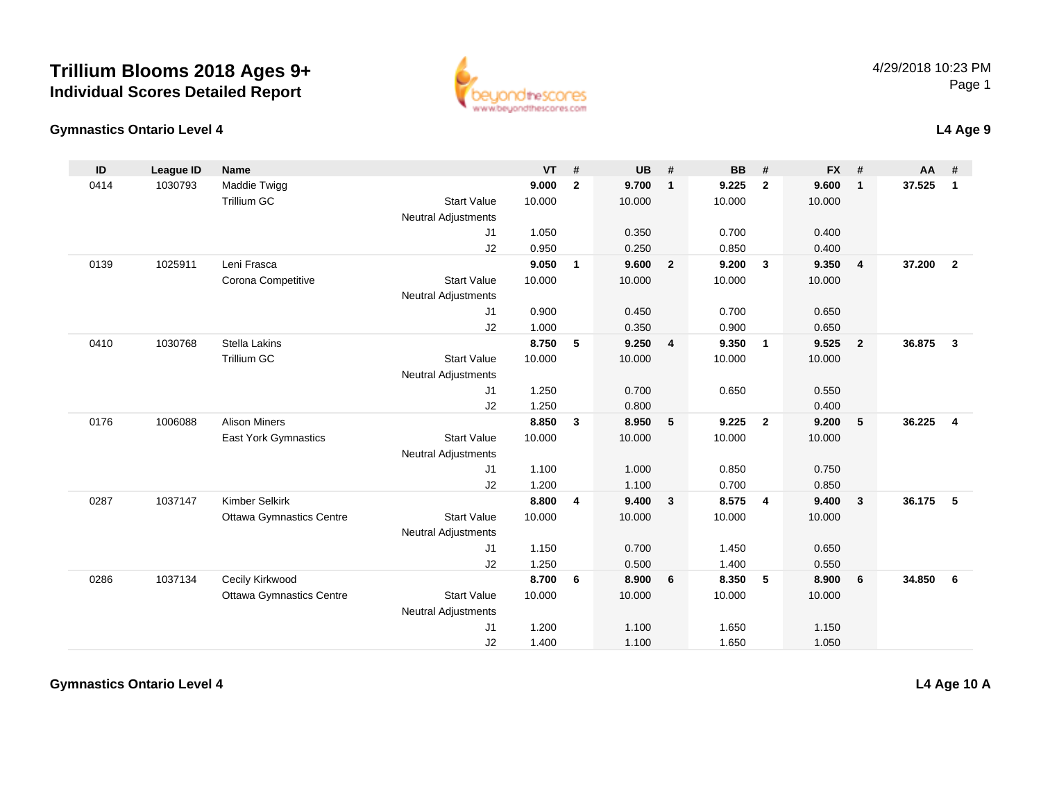

#### **Gymnastics Ontario Level 4**

|  | L4 Age 9 |
|--|----------|
|--|----------|

| ID   | <b>League ID</b> | Name                            |                            | <b>VT</b> | #              | <b>UB</b> | #                       | <b>BB</b> | #              | <b>FX</b> | #              | <b>AA</b> | #              |
|------|------------------|---------------------------------|----------------------------|-----------|----------------|-----------|-------------------------|-----------|----------------|-----------|----------------|-----------|----------------|
| 0414 | 1030793          | Maddie Twigg                    |                            | 9.000     | $\overline{2}$ | 9.700     | $\mathbf{1}$            | 9.225     | $\overline{2}$ | 9.600     | $\mathbf{1}$   | 37.525    | $\mathbf{1}$   |
|      |                  | <b>Trillium GC</b>              | <b>Start Value</b>         | 10.000    |                | 10.000    |                         | 10.000    |                | 10.000    |                |           |                |
|      |                  |                                 | <b>Neutral Adjustments</b> |           |                |           |                         |           |                |           |                |           |                |
|      |                  |                                 | J1                         | 1.050     |                | 0.350     |                         | 0.700     |                | 0.400     |                |           |                |
|      |                  |                                 | J2                         | 0.950     |                | 0.250     |                         | 0.850     |                | 0.400     |                |           |                |
| 0139 | 1025911          | Leni Frasca                     |                            | 9.050     | 1              | 9.600     | $\overline{2}$          | 9.200     | $\mathbf{3}$   | 9.350     | $\overline{4}$ | 37.200    | $\overline{2}$ |
|      |                  | Corona Competitive              | <b>Start Value</b>         | 10.000    |                | 10.000    |                         | 10.000    |                | 10.000    |                |           |                |
|      |                  |                                 | <b>Neutral Adjustments</b> |           |                |           |                         |           |                |           |                |           |                |
|      |                  |                                 | J1                         | 0.900     |                | 0.450     |                         | 0.700     |                | 0.650     |                |           |                |
|      |                  |                                 | J2                         | 1.000     |                | 0.350     |                         | 0.900     |                | 0.650     |                |           |                |
| 0410 | 1030768          | <b>Stella Lakins</b>            |                            | 8.750     | 5              | 9.250     | $\overline{\mathbf{4}}$ | 9.350     | $\overline{1}$ | 9.525     | $\overline{2}$ | 36.875    | $\mathbf{3}$   |
|      |                  | Trillium GC                     | <b>Start Value</b>         | 10.000    |                | 10.000    |                         | 10.000    |                | 10.000    |                |           |                |
|      |                  |                                 | <b>Neutral Adjustments</b> |           |                |           |                         |           |                |           |                |           |                |
|      |                  |                                 | J1                         | 1.250     |                | 0.700     |                         | 0.650     |                | 0.550     |                |           |                |
|      |                  |                                 | J2                         | 1.250     |                | 0.800     |                         |           |                | 0.400     |                |           |                |
| 0176 | 1006088          | <b>Alison Miners</b>            |                            | 8.850     | $\mathbf{3}$   | 8.950     | $5\phantom{.0}$         | 9.225     | $\overline{2}$ | 9.200     | 5              | 36.225    | $\overline{4}$ |
|      |                  | East York Gymnastics            | <b>Start Value</b>         | 10.000    |                | 10.000    |                         | 10.000    |                | 10.000    |                |           |                |
|      |                  |                                 | <b>Neutral Adjustments</b> |           |                |           |                         |           |                |           |                |           |                |
|      |                  |                                 | J1                         | 1.100     |                | 1.000     |                         | 0.850     |                | 0.750     |                |           |                |
|      |                  |                                 | J2                         | 1.200     |                | 1.100     |                         | 0.700     |                | 0.850     |                |           |                |
| 0287 | 1037147          | <b>Kimber Selkirk</b>           |                            | 8.800     | 4              | 9.400     | $\mathbf{3}$            | 8.575     | $\overline{4}$ | 9.400     | $\mathbf{3}$   | 36.175    | -5             |
|      |                  | <b>Ottawa Gymnastics Centre</b> | <b>Start Value</b>         | 10.000    |                | 10.000    |                         | 10.000    |                | 10.000    |                |           |                |
|      |                  |                                 | <b>Neutral Adjustments</b> |           |                |           |                         |           |                |           |                |           |                |
|      |                  |                                 | J1                         | 1.150     |                | 0.700     |                         | 1.450     |                | 0.650     |                |           |                |
|      |                  |                                 | J2                         | 1.250     |                | 0.500     |                         | 1.400     |                | 0.550     |                |           |                |
| 0286 | 1037134          | Cecily Kirkwood                 |                            | 8.700     | -6             | 8.900     | 6                       | 8.350     | 5              | 8.900     | 6              | 34.850    | - 6            |
|      |                  | <b>Ottawa Gymnastics Centre</b> | <b>Start Value</b>         | 10.000    |                | 10.000    |                         | 10.000    |                | 10.000    |                |           |                |
|      |                  |                                 | Neutral Adjustments        |           |                |           |                         |           |                |           |                |           |                |
|      |                  |                                 | J1                         | 1.200     |                | 1.100     |                         | 1.650     |                | 1.150     |                |           |                |
|      |                  |                                 | J2                         | 1.400     |                | 1.100     |                         | 1.650     |                | 1.050     |                |           |                |

**Gymnastics Ontario Level 4**

**L4 Age 10 A**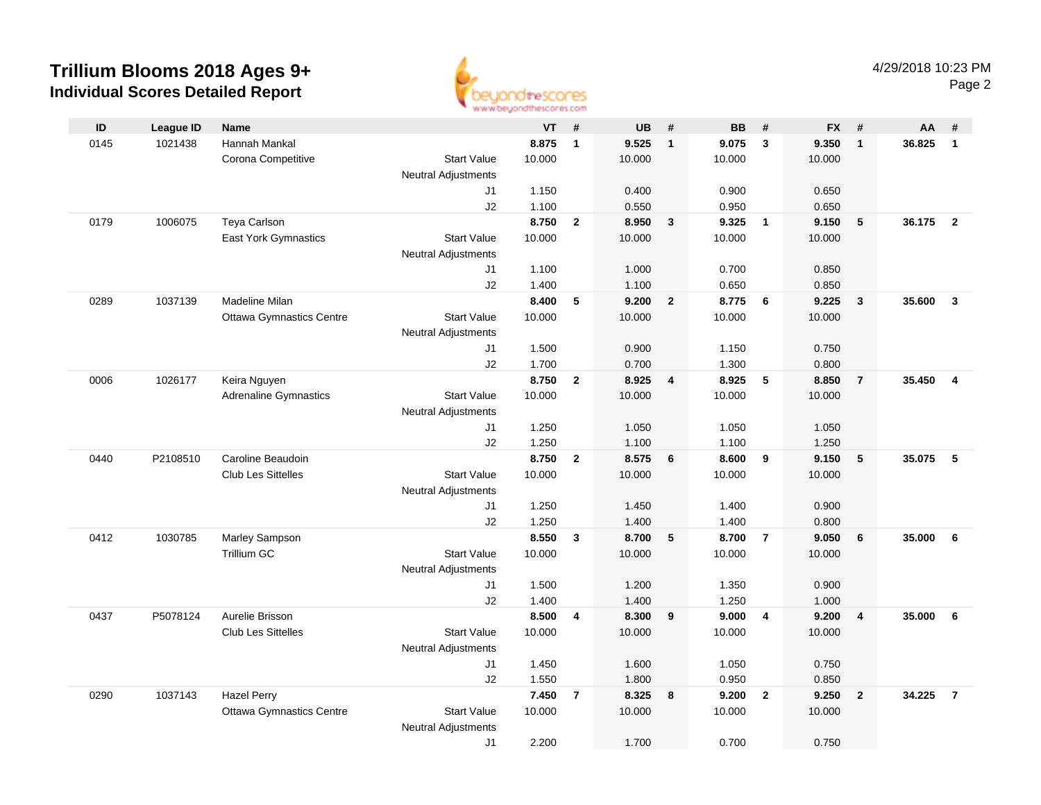

|      |                  |                                 |                            | as as arrested to a statement approve |                         |           |                |           |                         |           |                         |        |                |
|------|------------------|---------------------------------|----------------------------|---------------------------------------|-------------------------|-----------|----------------|-----------|-------------------------|-----------|-------------------------|--------|----------------|
| ID   | <b>League ID</b> | <b>Name</b>                     |                            | $VT$ #                                |                         | <b>UB</b> | #              | <b>BB</b> | #                       | <b>FX</b> | #                       | AA     | #              |
| 0145 | 1021438          | Hannah Mankal                   |                            | 8.875                                 | $\overline{1}$          | 9.525     | $\overline{1}$ | 9.075     | $\overline{\mathbf{3}}$ | 9.350     | $\overline{1}$          | 36.825 | $\mathbf{1}$   |
|      |                  | Corona Competitive              | <b>Start Value</b>         | 10.000                                |                         | 10.000    |                | 10.000    |                         | 10.000    |                         |        |                |
|      |                  |                                 | <b>Neutral Adjustments</b> |                                       |                         |           |                |           |                         |           |                         |        |                |
|      |                  |                                 | J1                         | 1.150                                 |                         | 0.400     |                | 0.900     |                         | 0.650     |                         |        |                |
|      |                  |                                 | J2                         | 1.100                                 |                         | 0.550     |                | 0.950     |                         | 0.650     |                         |        |                |
| 0179 | 1006075          | Teya Carlson                    |                            | 8.750                                 | $\overline{2}$          | 8.950     | $\mathbf{3}$   | 9.325     | $\overline{\mathbf{1}}$ | 9.150     | 5                       | 36.175 | $\overline{2}$ |
|      |                  | <b>East York Gymnastics</b>     | <b>Start Value</b>         | 10.000                                |                         | 10.000    |                | 10.000    |                         | 10.000    |                         |        |                |
|      |                  |                                 | <b>Neutral Adjustments</b> |                                       |                         |           |                |           |                         |           |                         |        |                |
|      |                  |                                 | J1                         | 1.100                                 |                         | 1.000     |                | 0.700     |                         | 0.850     |                         |        |                |
|      |                  |                                 | J2                         | 1.400                                 |                         | 1.100     |                | 0.650     |                         | 0.850     |                         |        |                |
| 0289 | 1037139          | Madeline Milan                  |                            | 8.400                                 | 5                       | 9.200     | $\overline{2}$ | 8.775     | 6                       | 9.225     | $\overline{\mathbf{3}}$ | 35.600 | $\mathbf{3}$   |
|      |                  | <b>Ottawa Gymnastics Centre</b> | <b>Start Value</b>         | 10.000                                |                         | 10.000    |                | 10.000    |                         | 10.000    |                         |        |                |
|      |                  |                                 | <b>Neutral Adjustments</b> |                                       |                         |           |                |           |                         |           |                         |        |                |
|      |                  |                                 | J1                         | 1.500                                 |                         | 0.900     |                | 1.150     |                         | 0.750     |                         |        |                |
|      |                  |                                 | J2                         | 1.700                                 |                         | 0.700     |                | 1.300     |                         | 0.800     |                         |        |                |
| 0006 | 1026177          | Keira Nguyen                    |                            | 8.750                                 | $\overline{2}$          | 8.925     | $\overline{4}$ | 8.925     | 5                       | 8.850     | $\overline{7}$          | 35.450 | $\overline{4}$ |
|      |                  | <b>Adrenaline Gymnastics</b>    | <b>Start Value</b>         | 10.000                                |                         | 10.000    |                | 10.000    |                         | 10.000    |                         |        |                |
|      |                  |                                 | <b>Neutral Adjustments</b> |                                       |                         |           |                |           |                         |           |                         |        |                |
|      |                  |                                 | J1                         | 1.250                                 |                         | 1.050     |                | 1.050     |                         | 1.050     |                         |        |                |
|      |                  |                                 | J2                         | 1.250                                 |                         | 1.100     |                | 1.100     |                         | 1.250     |                         |        |                |
| 0440 | P2108510         | Caroline Beaudoin               |                            | 8.750                                 | $\mathbf{2}$            | 8.575     | $6\phantom{1}$ | 8.600     | 9                       | 9.150     | $\sqrt{5}$              | 35.075 | 5              |
|      |                  | <b>Club Les Sittelles</b>       | <b>Start Value</b>         | 10.000                                |                         | 10.000    |                | 10.000    |                         | 10.000    |                         |        |                |
|      |                  |                                 | <b>Neutral Adjustments</b> |                                       |                         |           |                |           |                         |           |                         |        |                |
|      |                  |                                 | J1                         | 1.250                                 |                         | 1.450     |                | 1.400     |                         | 0.900     |                         |        |                |
|      |                  |                                 | J2                         | 1.250                                 |                         | 1.400     |                | 1.400     |                         | 0.800     |                         |        |                |
| 0412 | 1030785          | Marley Sampson                  |                            | 8.550                                 | $\mathbf{3}$            | 8.700     | 5              | 8.700     | $\overline{7}$          | 9.050     | 6                       | 35.000 | 6              |
|      |                  | <b>Trillium GC</b>              | <b>Start Value</b>         | 10.000                                |                         | 10.000    |                | 10.000    |                         | 10.000    |                         |        |                |
|      |                  |                                 | <b>Neutral Adjustments</b> |                                       |                         |           |                |           |                         |           |                         |        |                |
|      |                  |                                 | J1                         | 1.500                                 |                         | 1.200     |                | 1.350     |                         | 0.900     |                         |        |                |
|      |                  |                                 | J2                         | 1.400                                 |                         | 1.400     |                | 1.250     |                         | 1.000     |                         |        |                |
| 0437 | P5078124         | Aurelie Brisson                 |                            | 8.500                                 | $\overline{\mathbf{4}}$ | 8.300     | 9              | 9.000     | $\overline{4}$          | 9.200     | $\overline{\mathbf{4}}$ | 35.000 | 6              |
|      |                  | Club Les Sittelles              | <b>Start Value</b>         | 10.000                                |                         | 10.000    |                | 10.000    |                         | 10.000    |                         |        |                |
|      |                  |                                 | <b>Neutral Adjustments</b> |                                       |                         |           |                |           |                         |           |                         |        |                |
|      |                  |                                 | J <sub>1</sub>             | 1.450                                 |                         | 1.600     |                | 1.050     |                         | 0.750     |                         |        |                |
|      |                  |                                 | J2                         | 1.550                                 |                         | 1.800     |                | 0.950     |                         | 0.850     |                         |        |                |
| 0290 | 1037143          | <b>Hazel Perry</b>              |                            | 7.450                                 | $\overline{7}$          | 8.325     | 8              | 9.200     | $\overline{2}$          | 9.250     | $\overline{2}$          | 34.225 | $\overline{7}$ |
|      |                  | <b>Ottawa Gymnastics Centre</b> | <b>Start Value</b>         | 10.000                                |                         | 10.000    |                | 10.000    |                         | 10.000    |                         |        |                |
|      |                  |                                 | <b>Neutral Adjustments</b> |                                       |                         |           |                |           |                         |           |                         |        |                |
|      |                  |                                 | J1                         | 2.200                                 |                         | 1.700     |                | 0.700     |                         | 0.750     |                         |        |                |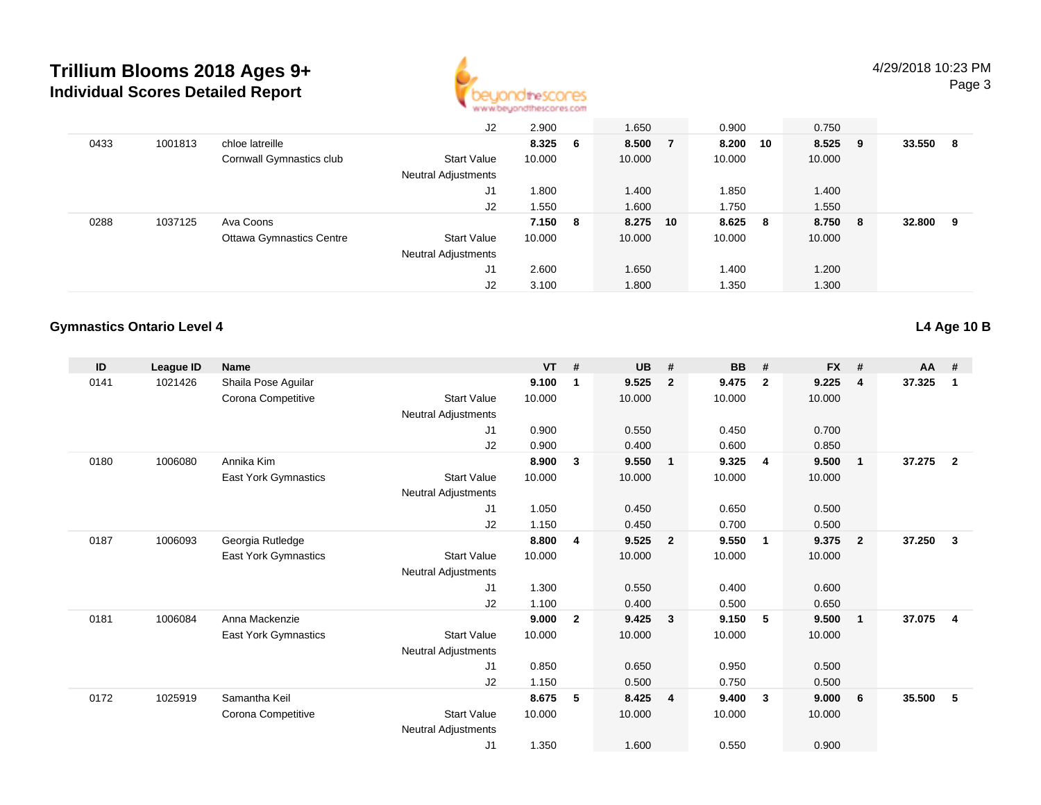

|      |         |                                 | J2                         | 2.900   | 1.650    | 0.900   |    | 0.750  |     |        |    |
|------|---------|---------------------------------|----------------------------|---------|----------|---------|----|--------|-----|--------|----|
| 0433 | 1001813 | chloe latreille                 |                            | 8.325 6 | 8.500 7  | 8.200   | 10 | 8.525  | - 9 | 33.550 | -8 |
|      |         | Cornwall Gymnastics club        | <b>Start Value</b>         | 10.000  | 10.000   | 10.000  |    | 10.000 |     |        |    |
|      |         |                                 | Neutral Adjustments        |         |          |         |    |        |     |        |    |
|      |         |                                 | J1                         | 1.800   | 1.400    | 1.850   |    | 1.400  |     |        |    |
|      |         |                                 | J2                         | 1.550   | 1.600    | 1.750   |    | 1.550  |     |        |    |
| 0288 | 1037125 | Ava Coons                       |                            | 7.150 8 | 8.275 10 | 8.625 8 |    | 8.750  | 8   | 32.800 | 9  |
|      |         | <b>Ottawa Gymnastics Centre</b> | <b>Start Value</b>         | 10.000  | 10.000   | 10.000  |    | 10.000 |     |        |    |
|      |         |                                 | <b>Neutral Adjustments</b> |         |          |         |    |        |     |        |    |
|      |         |                                 | J1                         | 2.600   | 1.650    | 1.400   |    | 1.200  |     |        |    |
|      |         |                                 | J2                         | 3.100   | 1.800    | 1.350   |    | 1.300  |     |        |    |

#### **Gymnastics Ontario Level 4**

**L4 Age 10 B**

| ID   | League ID | <b>Name</b>          |                            | <b>VT</b> | #            | <b>UB</b> | #                       | BB     | #              | <b>FX</b> | #              | $AA$ # |                         |
|------|-----------|----------------------|----------------------------|-----------|--------------|-----------|-------------------------|--------|----------------|-----------|----------------|--------|-------------------------|
| 0141 | 1021426   | Shaila Pose Aguilar  |                            | 9.100     | $\mathbf 1$  | 9.525     | $\overline{2}$          | 9.475  | $\overline{2}$ | 9.225     | 4              | 37.325 | $\mathbf 1$             |
|      |           | Corona Competitive   | <b>Start Value</b>         | 10.000    |              | 10.000    |                         | 10.000 |                | 10.000    |                |        |                         |
|      |           |                      | <b>Neutral Adjustments</b> |           |              |           |                         |        |                |           |                |        |                         |
|      |           |                      | J <sub>1</sub>             | 0.900     |              | 0.550     |                         | 0.450  |                | 0.700     |                |        |                         |
|      |           |                      | J <sub>2</sub>             | 0.900     |              | 0.400     |                         | 0.600  |                | 0.850     |                |        |                         |
| 0180 | 1006080   | Annika Kim           |                            | 8.900     | 3            | 9.550     | $\overline{1}$          | 9.325  | $\overline{4}$ | 9.500     | $\mathbf 1$    | 37.275 | $\overline{2}$          |
|      |           | East York Gymnastics | <b>Start Value</b>         | 10.000    |              | 10.000    |                         | 10.000 |                | 10.000    |                |        |                         |
|      |           |                      | <b>Neutral Adjustments</b> |           |              |           |                         |        |                |           |                |        |                         |
|      |           |                      | J1                         | 1.050     |              | 0.450     |                         | 0.650  |                | 0.500     |                |        |                         |
|      |           |                      | J2                         | 1.150     |              | 0.450     |                         | 0.700  |                | 0.500     |                |        |                         |
| 0187 | 1006093   | Georgia Rutledge     |                            | 8.800     | 4            | 9.525     | $\overline{\mathbf{2}}$ | 9.550  | $\mathbf{1}$   | 9.375     | $\overline{2}$ | 37.250 | 3                       |
|      |           | East York Gymnastics | <b>Start Value</b>         | 10.000    |              | 10.000    |                         | 10.000 |                | 10.000    |                |        |                         |
|      |           |                      | <b>Neutral Adjustments</b> |           |              |           |                         |        |                |           |                |        |                         |
|      |           |                      | J1                         | 1.300     |              | 0.550     |                         | 0.400  |                | 0.600     |                |        |                         |
|      |           |                      | J <sub>2</sub>             | 1.100     |              | 0.400     |                         | 0.500  |                | 0.650     |                |        |                         |
| 0181 | 1006084   | Anna Mackenzie       |                            | 9.000     | $\mathbf{2}$ | 9.425     | $\mathbf{3}$            | 9.150  | -5             | 9.500     | $\mathbf{1}$   | 37.075 | $\overline{\mathbf{4}}$ |
|      |           | East York Gymnastics | <b>Start Value</b>         | 10.000    |              | 10.000    |                         | 10.000 |                | 10.000    |                |        |                         |
|      |           |                      | <b>Neutral Adjustments</b> |           |              |           |                         |        |                |           |                |        |                         |
|      |           |                      | J1                         | 0.850     |              | 0.650     |                         | 0.950  |                | 0.500     |                |        |                         |
|      |           |                      | J2                         | 1.150     |              | 0.500     |                         | 0.750  |                | 0.500     |                |        |                         |
| 0172 | 1025919   | Samantha Keil        |                            | 8.675     | 5            | 8.425     | $\overline{4}$          | 9.400  | 3              | 9.000     | 6              | 35.500 | 5                       |
|      |           | Corona Competitive   | <b>Start Value</b>         | 10.000    |              | 10.000    |                         | 10.000 |                | 10.000    |                |        |                         |
|      |           |                      | <b>Neutral Adjustments</b> |           |              |           |                         |        |                |           |                |        |                         |
|      |           |                      | J <sub>1</sub>             | 1.350     |              | 1.600     |                         | 0.550  |                | 0.900     |                |        |                         |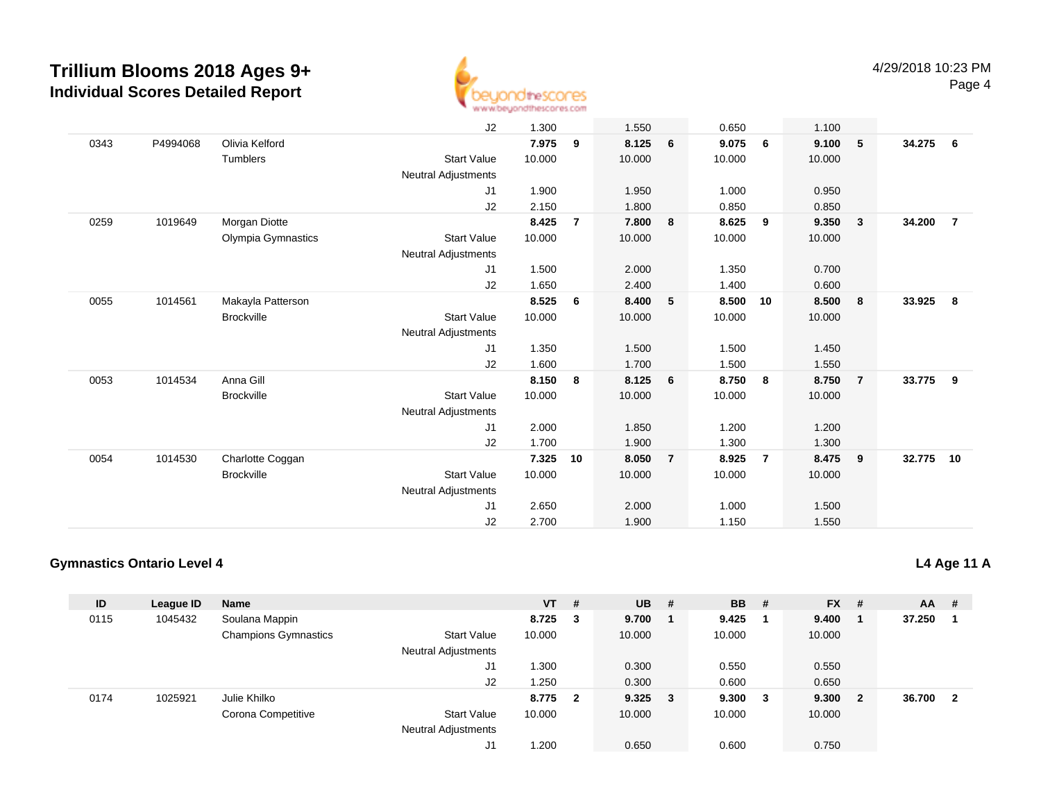

|      |          |                    | J2                         | 1.300  |                | 1.550  |                | 0.650  |                | 1.100  |                         |        |                |
|------|----------|--------------------|----------------------------|--------|----------------|--------|----------------|--------|----------------|--------|-------------------------|--------|----------------|
| 0343 | P4994068 | Olivia Kelford     |                            | 7.975  | 9              | 8.125  | 6              | 9.075  | 6              | 9.100  | $\sqrt{5}$              | 34.275 | 6              |
|      |          | <b>Tumblers</b>    | <b>Start Value</b>         | 10.000 |                | 10.000 |                | 10.000 |                | 10.000 |                         |        |                |
|      |          |                    | Neutral Adjustments        |        |                |        |                |        |                |        |                         |        |                |
|      |          |                    | J1                         | 1.900  |                | 1.950  |                | 1.000  |                | 0.950  |                         |        |                |
|      |          |                    | J2                         | 2.150  |                | 1.800  |                | 0.850  |                | 0.850  |                         |        |                |
| 0259 | 1019649  | Morgan Diotte      |                            | 8.425  | $\overline{7}$ | 7.800  | 8              | 8.625  | 9              | 9.350  | $\overline{\mathbf{3}}$ | 34.200 | $\overline{7}$ |
|      |          | Olympia Gymnastics | <b>Start Value</b>         | 10.000 |                | 10.000 |                | 10.000 |                | 10.000 |                         |        |                |
|      |          |                    | Neutral Adjustments        |        |                |        |                |        |                |        |                         |        |                |
|      |          |                    | J1                         | 1.500  |                | 2.000  |                | 1.350  |                | 0.700  |                         |        |                |
|      |          |                    | J2                         | 1.650  |                | 2.400  |                | 1.400  |                | 0.600  |                         |        |                |
| 0055 | 1014561  | Makayla Patterson  |                            | 8.525  | 6              | 8.400  | 5              | 8.500  | 10             | 8.500  | 8                       | 33.925 | 8              |
|      |          | <b>Brockville</b>  | <b>Start Value</b>         | 10.000 |                | 10.000 |                | 10.000 |                | 10.000 |                         |        |                |
|      |          |                    | Neutral Adjustments        |        |                |        |                |        |                |        |                         |        |                |
|      |          |                    | J1                         | 1.350  |                | 1.500  |                | 1.500  |                | 1.450  |                         |        |                |
|      |          |                    | J2                         | 1.600  |                | 1.700  |                | 1.500  |                | 1.550  |                         |        |                |
| 0053 | 1014534  | Anna Gill          |                            | 8.150  | 8              | 8.125  | 6              | 8.750  | 8              | 8.750  | $\overline{7}$          | 33.775 | 9              |
|      |          | <b>Brockville</b>  | <b>Start Value</b>         | 10.000 |                | 10.000 |                | 10.000 |                | 10.000 |                         |        |                |
|      |          |                    | <b>Neutral Adjustments</b> |        |                |        |                |        |                |        |                         |        |                |
|      |          |                    | J1                         | 2.000  |                | 1.850  |                | 1.200  |                | 1.200  |                         |        |                |
|      |          |                    | J2                         | 1.700  |                | 1.900  |                | 1.300  |                | 1.300  |                         |        |                |
| 0054 | 1014530  | Charlotte Coggan   |                            | 7.325  | 10             | 8.050  | $\overline{7}$ | 8.925  | $\overline{7}$ | 8.475  | $_{9}$                  | 32.775 | 10             |
|      |          | <b>Brockville</b>  | <b>Start Value</b>         | 10.000 |                | 10.000 |                | 10.000 |                | 10.000 |                         |        |                |
|      |          |                    | <b>Neutral Adjustments</b> |        |                |        |                |        |                |        |                         |        |                |
|      |          |                    | J1                         | 2.650  |                | 2.000  |                | 1.000  |                | 1.500  |                         |        |                |
|      |          |                    | J2                         | 2.700  |                | 1.900  |                | 1.150  |                | 1.550  |                         |        |                |

### **Gymnastics Ontario Level 4**

| ID   | League ID | <b>Name</b>                 |                            | <b>VT</b> | # | $UB$ #      | <b>BB</b> | # | $FX$ # |                         | AA     | #                       |
|------|-----------|-----------------------------|----------------------------|-----------|---|-------------|-----------|---|--------|-------------------------|--------|-------------------------|
| 0115 | 1045432   | Soulana Mappin              |                            | 8.725     | 3 | 9.700       | 9.425     |   | 9.400  |                         | 37.250 |                         |
|      |           | <b>Champions Gymnastics</b> | <b>Start Value</b>         | 10.000    |   | 10.000      | 10.000    |   | 10.000 |                         |        |                         |
|      |           |                             | <b>Neutral Adjustments</b> |           |   |             |           |   |        |                         |        |                         |
|      |           |                             | J1                         | 1.300     |   | 0.300       | 0.550     |   | 0.550  |                         |        |                         |
|      |           |                             | J2                         | 1.250     |   | 0.300       | 0.600     |   | 0.650  |                         |        |                         |
| 0174 | 1025921   | Julie Khilko                |                            | 8.775 2   |   | $9.325 \t3$ | 9.300 3   |   | 9.300  | $\overline{\mathbf{2}}$ | 36.700 | $\overline{\mathbf{2}}$ |
|      |           | Corona Competitive          | <b>Start Value</b>         | 10.000    |   | 10.000      | 10.000    |   | 10.000 |                         |        |                         |
|      |           |                             | <b>Neutral Adjustments</b> |           |   |             |           |   |        |                         |        |                         |
|      |           |                             | J1                         | 1.200     |   | 0.650       | 0.600     |   | 0.750  |                         |        |                         |

### **L4 Age 11 A**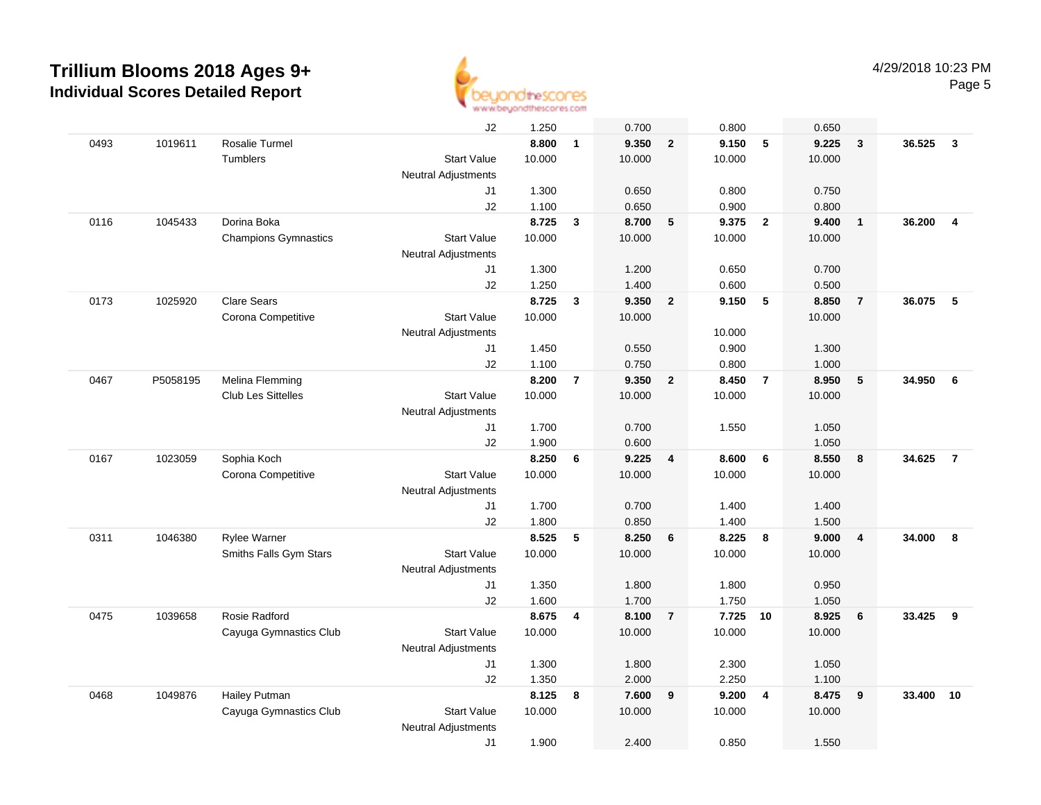

|      |          |                             | J2                         | 1.250  |                | 0.700  |                | 0.800  |                | 0.650  |                |        |                         |
|------|----------|-----------------------------|----------------------------|--------|----------------|--------|----------------|--------|----------------|--------|----------------|--------|-------------------------|
| 0493 | 1019611  | Rosalie Turmel              |                            | 8.800  | $\mathbf{1}$   | 9.350  | $\overline{2}$ | 9.150  | 5              | 9.225  | $\overline{3}$ | 36.525 | $\overline{\mathbf{3}}$ |
|      |          | Tumblers                    | <b>Start Value</b>         | 10.000 |                | 10.000 |                | 10.000 |                | 10.000 |                |        |                         |
|      |          |                             | <b>Neutral Adjustments</b> |        |                |        |                |        |                |        |                |        |                         |
|      |          |                             | J1                         | 1.300  |                | 0.650  |                | 0.800  |                | 0.750  |                |        |                         |
|      |          |                             | J2                         | 1.100  |                | 0.650  |                | 0.900  |                | 0.800  |                |        |                         |
| 0116 | 1045433  | Dorina Boka                 |                            | 8.725  | 3              | 8.700  | 5              | 9.375  | $\overline{2}$ | 9.400  | $\overline{1}$ | 36.200 | $\overline{\mathbf{4}}$ |
|      |          | <b>Champions Gymnastics</b> | <b>Start Value</b>         | 10.000 |                | 10.000 |                | 10.000 |                | 10.000 |                |        |                         |
|      |          |                             | <b>Neutral Adjustments</b> |        |                |        |                |        |                |        |                |        |                         |
|      |          |                             | J1                         | 1.300  |                | 1.200  |                | 0.650  |                | 0.700  |                |        |                         |
|      |          |                             | J2                         | 1.250  |                | 1.400  |                | 0.600  |                | 0.500  |                |        |                         |
| 0173 | 1025920  | <b>Clare Sears</b>          |                            | 8.725  | $\mathbf{3}$   | 9.350  | $\overline{2}$ | 9.150  | 5              | 8.850  | $\overline{7}$ | 36.075 | 5                       |
|      |          | Corona Competitive          | <b>Start Value</b>         | 10.000 |                | 10.000 |                |        |                | 10.000 |                |        |                         |
|      |          |                             | <b>Neutral Adjustments</b> |        |                |        |                | 10.000 |                |        |                |        |                         |
|      |          |                             | J1                         | 1.450  |                | 0.550  |                | 0.900  |                | 1.300  |                |        |                         |
|      |          |                             | J2                         | 1.100  |                | 0.750  |                | 0.800  |                | 1.000  |                |        |                         |
| 0467 | P5058195 | Melina Flemming             |                            | 8.200  | $\overline{7}$ | 9.350  | $\overline{2}$ | 8.450  | $\overline{7}$ | 8.950  | $\sqrt{5}$     | 34.950 | 6                       |
|      |          | Club Les Sittelles          | <b>Start Value</b>         | 10.000 |                | 10.000 |                | 10.000 |                | 10.000 |                |        |                         |
|      |          |                             | <b>Neutral Adjustments</b> |        |                |        |                |        |                |        |                |        |                         |
|      |          |                             | J1                         | 1.700  |                | 0.700  |                | 1.550  |                | 1.050  |                |        |                         |
|      |          |                             | J2                         | 1.900  |                | 0.600  |                |        |                | 1.050  |                |        |                         |
| 0167 | 1023059  | Sophia Koch                 |                            | 8.250  | 6              | 9.225  | $\overline{4}$ | 8.600  | 6              | 8.550  | 8              | 34.625 | $\overline{7}$          |
|      |          | Corona Competitive          | <b>Start Value</b>         | 10.000 |                | 10.000 |                | 10.000 |                | 10.000 |                |        |                         |
|      |          |                             | <b>Neutral Adjustments</b> |        |                |        |                |        |                |        |                |        |                         |
|      |          |                             | J1                         | 1.700  |                | 0.700  |                | 1.400  |                | 1.400  |                |        |                         |
|      |          |                             | J2                         | 1.800  |                | 0.850  |                | 1.400  |                | 1.500  |                |        |                         |
| 0311 | 1046380  | Rylee Warner                |                            | 8.525  | 5              | 8.250  | 6              | 8.225  | 8              | 9.000  | $\overline{4}$ | 34.000 | 8                       |
|      |          | Smiths Falls Gym Stars      | <b>Start Value</b>         | 10.000 |                | 10.000 |                | 10.000 |                | 10.000 |                |        |                         |
|      |          |                             | <b>Neutral Adjustments</b> |        |                |        |                |        |                |        |                |        |                         |
|      |          |                             | J1                         | 1.350  |                | 1.800  |                | 1.800  |                | 0.950  |                |        |                         |
|      |          |                             | J2                         | 1.600  |                | 1.700  |                | 1.750  |                | 1.050  |                |        |                         |
| 0475 | 1039658  | Rosie Radford               |                            | 8.675  | 4              | 8.100  | $\overline{7}$ | 7.725  | 10             | 8.925  | 6              | 33.425 | 9                       |
|      |          | Cayuga Gymnastics Club      | <b>Start Value</b>         | 10.000 |                | 10.000 |                | 10.000 |                | 10.000 |                |        |                         |
|      |          |                             | <b>Neutral Adjustments</b> |        |                |        |                |        |                |        |                |        |                         |
|      |          |                             | J1                         | 1.300  |                | 1.800  |                | 2.300  |                | 1.050  |                |        |                         |
|      |          |                             | J2                         | 1.350  |                | 2.000  |                | 2.250  |                | 1.100  |                |        |                         |
| 0468 | 1049876  | Hailey Putman               |                            | 8.125  | 8              | 7.600  | 9              | 9.200  | 4              | 8.475  | 9              | 33.400 | 10                      |
|      |          | Cayuga Gymnastics Club      | <b>Start Value</b>         | 10.000 |                | 10.000 |                | 10.000 |                | 10.000 |                |        |                         |
|      |          |                             | <b>Neutral Adjustments</b> |        |                |        |                |        |                |        |                |        |                         |
|      |          |                             | J1                         | 1.900  |                | 2.400  |                | 0.850  |                | 1.550  |                |        |                         |
|      |          |                             |                            |        |                |        |                |        |                |        |                |        |                         |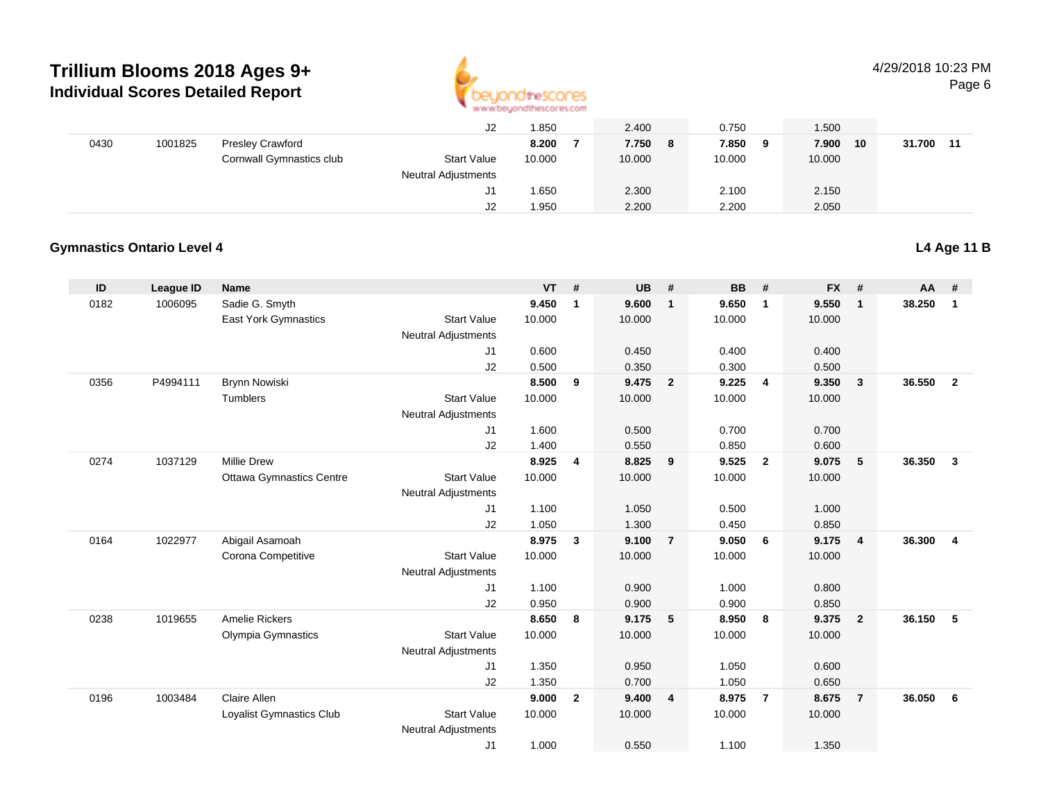

4/29/2018 10:23 PM

Page 6

|      |         |                          | ےں                         | .850   | 2.400  |   | 0.750  |   | .500   |    |        |    |
|------|---------|--------------------------|----------------------------|--------|--------|---|--------|---|--------|----|--------|----|
| 0430 | 1001825 | <b>Presley Crawford</b>  |                            | 8.200  | 7.750  | 8 | 7.850  | 9 | 7.900  | 10 | 31.700 | 11 |
|      |         | Cornwall Gymnastics club | <b>Start Value</b>         | 10.000 | 10.000 |   | 10.000 |   | 10.000 |    |        |    |
|      |         |                          | <b>Neutral Adjustments</b> |        |        |   |        |   |        |    |        |    |
|      |         |                          | J1                         | 1.650  | 2.300  |   | 2.100  |   | 2.150  |    |        |    |
|      |         |                          | J2                         | 1.950  | 2.200  |   | 2.200  |   | 2.050  |    |        |    |

#### **Gymnastics Ontario Level 4**

| ID   | <b>League ID</b> | Name                            |                            | <b>VT</b>      | #              | <b>UB</b>      | #              | <b>BB</b>      | #              | <b>FX</b>      | #              | $AA$ # |                |
|------|------------------|---------------------------------|----------------------------|----------------|----------------|----------------|----------------|----------------|----------------|----------------|----------------|--------|----------------|
| 0182 | 1006095          | Sadie G. Smyth                  |                            | 9.450          | $\mathbf{1}$   | 9.600          | $\mathbf{1}$   | 9.650          | $\mathbf{1}$   | 9.550          | $\overline{1}$ | 38.250 | $\mathbf{1}$   |
|      |                  | East York Gymnastics            | <b>Start Value</b>         | 10.000         |                | 10.000         |                | 10.000         |                | 10.000         |                |        |                |
|      |                  |                                 | <b>Neutral Adjustments</b> |                |                |                |                |                |                |                |                |        |                |
|      |                  |                                 | J1                         | 0.600          |                | 0.450          |                | 0.400          |                | 0.400          |                |        |                |
|      |                  |                                 | J2                         | 0.500          |                | 0.350          |                | 0.300          |                | 0.500          |                |        |                |
| 0356 | P4994111         | <b>Brynn Nowiski</b>            |                            | 8.500          | 9              | 9.475          | $\overline{2}$ | 9.225          | 4              | 9.350          | 3              | 36.550 | $\overline{2}$ |
|      |                  | Tumblers                        | <b>Start Value</b>         | 10.000         |                | 10.000         |                | 10.000         |                | 10.000         |                |        |                |
|      |                  |                                 | <b>Neutral Adjustments</b> |                |                |                |                |                |                |                |                |        |                |
|      |                  |                                 | J1                         | 1.600          |                | 0.500          |                | 0.700          |                | 0.700          |                |        |                |
| 0274 | 1037129          | <b>Millie Drew</b>              | J2                         | 1.400<br>8.925 | $\overline{4}$ | 0.550<br>8.825 | 9              | 0.850<br>9.525 | $\overline{2}$ | 0.600<br>9.075 | 5              | 36.350 | 3              |
|      |                  | <b>Ottawa Gymnastics Centre</b> | <b>Start Value</b>         | 10.000         |                | 10.000         |                | 10.000         |                | 10.000         |                |        |                |
|      |                  |                                 | <b>Neutral Adjustments</b> |                |                |                |                |                |                |                |                |        |                |
|      |                  |                                 | J1                         | 1.100          |                | 1.050          |                | 0.500          |                | 1.000          |                |        |                |
|      |                  |                                 | J2                         | 1.050          |                | 1.300          |                | 0.450          |                | 0.850          |                |        |                |
| 0164 | 1022977          | Abigail Asamoah                 |                            | 8.975          | $\mathbf{3}$   | 9.100          | $\overline{7}$ | 9.050          | - 6            | 9.175          | $\overline{4}$ | 36.300 | $\overline{4}$ |
|      |                  | Corona Competitive              | <b>Start Value</b>         | 10.000         |                | 10.000         |                | 10.000         |                | 10.000         |                |        |                |
|      |                  |                                 | <b>Neutral Adjustments</b> |                |                |                |                |                |                |                |                |        |                |
|      |                  |                                 | J1                         | 1.100          |                | 0.900          |                | 1.000          |                | 0.800          |                |        |                |
|      |                  |                                 | J2                         | 0.950          |                | 0.900          |                | 0.900          |                | 0.850          |                |        |                |
| 0238 | 1019655          | Amelie Rickers                  |                            | 8.650          | 8              | 9.175          | 5              | 8.950          | 8              | 9.375          | $\overline{2}$ | 36.150 | 5              |
|      |                  | Olympia Gymnastics              | <b>Start Value</b>         | 10.000         |                | 10.000         |                | 10.000         |                | 10.000         |                |        |                |
|      |                  |                                 | <b>Neutral Adjustments</b> |                |                |                |                |                |                |                |                |        |                |
|      |                  |                                 | J1                         | 1.350          |                | 0.950          |                | 1.050          |                | 0.600          |                |        |                |
|      |                  |                                 | J2                         | 1.350          |                | 0.700          |                | 1.050          |                | 0.650          |                |        |                |
| 0196 | 1003484          | Claire Allen                    |                            | 9.000          | $\overline{2}$ | 9.400          | $\overline{4}$ | 8.975          | $\overline{7}$ | 8.675          | $\overline{7}$ | 36.050 | 6              |
|      |                  | Loyalist Gymnastics Club        | <b>Start Value</b>         | 10.000         |                | 10.000         |                | 10.000         |                | 10.000         |                |        |                |
|      |                  |                                 | <b>Neutral Adjustments</b> |                |                |                |                |                |                |                |                |        |                |
|      |                  |                                 | J <sub>1</sub>             | 1.000          |                | 0.550          |                | 1.100          |                | 1.350          |                |        |                |

**L4 Age 11 B**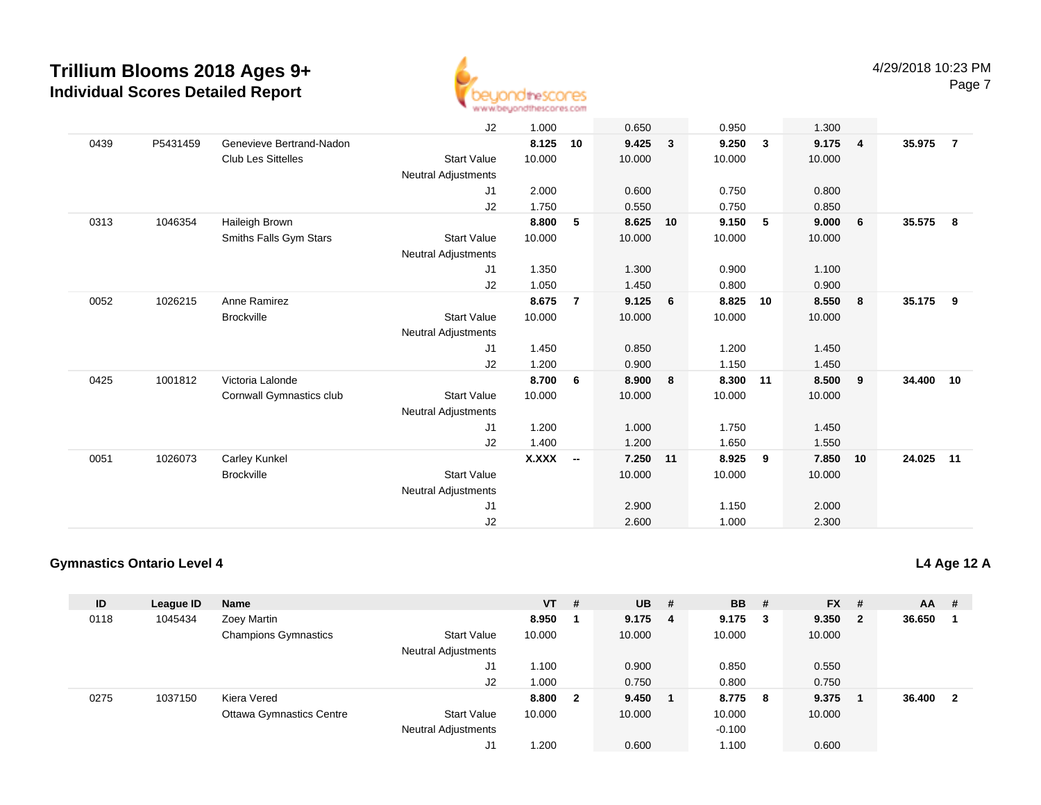

|      |          |                           | J <sub>2</sub>             | 1.000        |                          | 0.650    |              | 0.950  |              | 1.300  |                |        |                |
|------|----------|---------------------------|----------------------------|--------------|--------------------------|----------|--------------|--------|--------------|--------|----------------|--------|----------------|
| 0439 | P5431459 | Genevieve Bertrand-Nadon  |                            | 8.125        | 10                       | 9.425    | $\mathbf{3}$ | 9.250  | $\mathbf{3}$ | 9.175  | $\overline{4}$ | 35.975 | $\overline{7}$ |
|      |          | <b>Club Les Sittelles</b> | <b>Start Value</b>         | 10.000       |                          | 10.000   |              | 10.000 |              | 10.000 |                |        |                |
|      |          |                           | <b>Neutral Adjustments</b> |              |                          |          |              |        |              |        |                |        |                |
|      |          |                           | J1                         | 2.000        |                          | 0.600    |              | 0.750  |              | 0.800  |                |        |                |
|      |          |                           | J2                         | 1.750        |                          | 0.550    |              | 0.750  |              | 0.850  |                |        |                |
| 0313 | 1046354  | Haileigh Brown            |                            | 8.800        | 5                        | 8.625    | 10           | 9.150  | 5            | 9.000  | 6              | 35.575 | 8              |
|      |          | Smiths Falls Gym Stars    | <b>Start Value</b>         | 10.000       |                          | 10.000   |              | 10.000 |              | 10.000 |                |        |                |
|      |          |                           | Neutral Adjustments        |              |                          |          |              |        |              |        |                |        |                |
|      |          |                           | J1                         | 1.350        |                          | 1.300    |              | 0.900  |              | 1.100  |                |        |                |
|      |          |                           | J2                         | 1.050        |                          | 1.450    |              | 0.800  |              | 0.900  |                |        |                |
| 0052 | 1026215  | Anne Ramirez              |                            | 8.675        | $\overline{7}$           | 9.125    | 6            | 8.825  | 10           | 8.550  | 8              | 35.175 | - 9            |
|      |          | <b>Brockville</b>         | <b>Start Value</b>         | 10.000       |                          | 10.000   |              | 10.000 |              | 10.000 |                |        |                |
|      |          |                           | Neutral Adjustments        |              |                          |          |              |        |              |        |                |        |                |
|      |          |                           | J1                         | 1.450        |                          | 0.850    |              | 1.200  |              | 1.450  |                |        |                |
|      |          |                           | J2                         | 1.200        |                          | 0.900    |              | 1.150  |              | 1.450  |                |        |                |
| 0425 | 1001812  | Victoria Lalonde          |                            | 8.700        | 6                        | 8.900    | 8            | 8.300  | 11           | 8.500  | 9              | 34.400 | 10             |
|      |          | Cornwall Gymnastics club  | <b>Start Value</b>         | 10.000       |                          | 10.000   |              | 10.000 |              | 10.000 |                |        |                |
|      |          |                           | <b>Neutral Adjustments</b> |              |                          |          |              |        |              |        |                |        |                |
|      |          |                           | J1                         | 1.200        |                          | 1.000    |              | 1.750  |              | 1.450  |                |        |                |
|      |          |                           | J2                         | 1.400        |                          | 1.200    |              | 1.650  |              | 1.550  |                |        |                |
| 0051 | 1026073  | Carley Kunkel             |                            | <b>X.XXX</b> | $\overline{\phantom{a}}$ | 7.250 11 |              | 8.925  | 9            | 7.850  | 10             | 24.025 | $-11$          |
|      |          | <b>Brockville</b>         | <b>Start Value</b>         |              |                          | 10.000   |              | 10.000 |              | 10.000 |                |        |                |
|      |          |                           | Neutral Adjustments        |              |                          |          |              |        |              |        |                |        |                |
|      |          |                           | J <sub>1</sub>             |              |                          | 2.900    |              | 1.150  |              | 2.000  |                |        |                |
|      |          |                           | J2                         |              |                          | 2.600    |              | 1.000  |              | 2.300  |                |        |                |

### **Gymnastics Ontario Level 4**

| ID   | League ID | <b>Name</b>                     |                            | VT.    | #            | $UB$ #    | <b>BB</b> # |        | $FX$ # |                         | AA     | #                       |
|------|-----------|---------------------------------|----------------------------|--------|--------------|-----------|-------------|--------|--------|-------------------------|--------|-------------------------|
| 0118 | 1045434   | Zoey Martin                     |                            | 8.950  |              | $9.175$ 4 | 9.175       | $_{3}$ | 9.350  | $\overline{\mathbf{2}}$ | 36.650 |                         |
|      |           | <b>Champions Gymnastics</b>     | <b>Start Value</b>         | 10.000 |              | 10.000    | 10.000      |        | 10.000 |                         |        |                         |
|      |           |                                 | <b>Neutral Adjustments</b> |        |              |           |             |        |        |                         |        |                         |
|      |           |                                 | J1                         | 1.100  |              | 0.900     | 0.850       |        | 0.550  |                         |        |                         |
|      |           |                                 | J2                         | 1.000  |              | 0.750     | 0.800       |        | 0.750  |                         |        |                         |
| 0275 | 1037150   | Kiera Vered                     |                            | 8.800  | $\mathbf{2}$ | 9.450     | 8.775 8     |        | 9.375  |                         | 36.400 | $\overline{\mathbf{2}}$ |
|      |           | <b>Ottawa Gymnastics Centre</b> | <b>Start Value</b>         | 10.000 |              | 10.000    | 10.000      |        | 10.000 |                         |        |                         |
|      |           |                                 | <b>Neutral Adjustments</b> |        |              |           | $-0.100$    |        |        |                         |        |                         |
|      |           |                                 | J1                         | 1.200  |              | 0.600     | 1.100       |        | 0.600  |                         |        |                         |

### **L4 Age 12 A**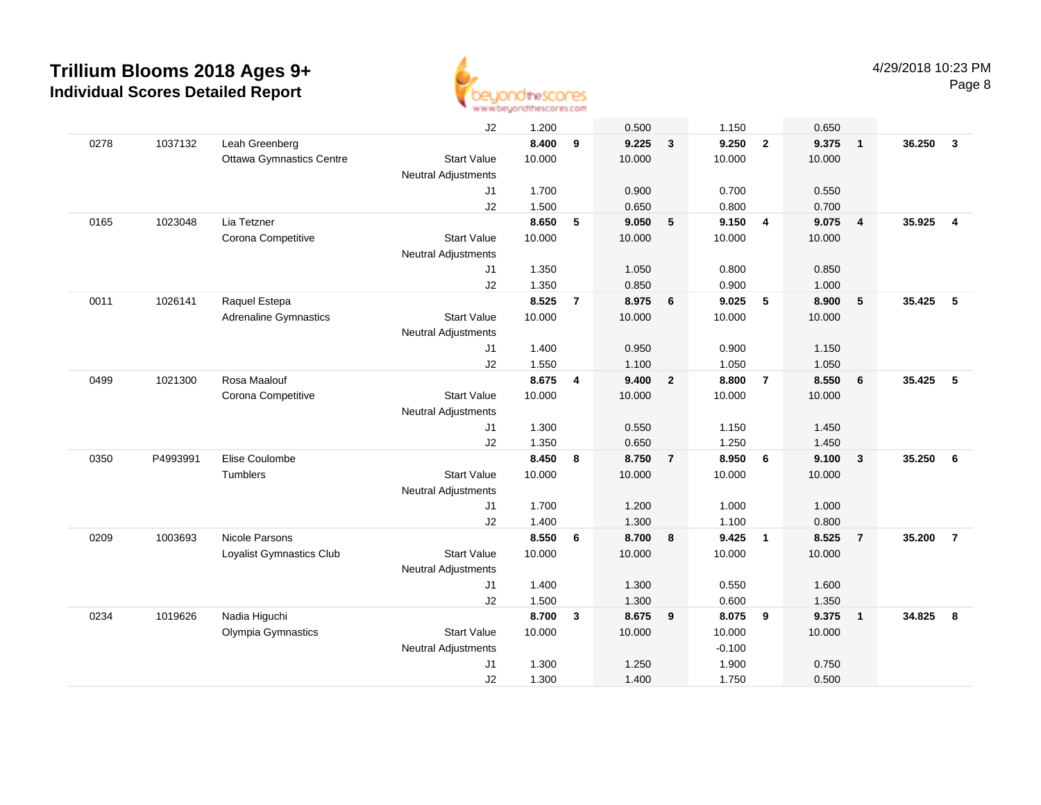

|      |          |                                 | J2                         | 1.200  |                | 0.500  |                | 1.150    |                         | 0.650  |                         |        |                         |
|------|----------|---------------------------------|----------------------------|--------|----------------|--------|----------------|----------|-------------------------|--------|-------------------------|--------|-------------------------|
| 0278 | 1037132  | Leah Greenberg                  |                            | 8.400  | 9              | 9.225  | $\overline{3}$ | 9.250    | $\overline{2}$          | 9.375  | $\overline{1}$          | 36.250 | $\mathbf{3}$            |
|      |          | <b>Ottawa Gymnastics Centre</b> | <b>Start Value</b>         | 10.000 |                | 10.000 |                | 10.000   |                         | 10.000 |                         |        |                         |
|      |          |                                 | Neutral Adjustments        |        |                |        |                |          |                         |        |                         |        |                         |
|      |          |                                 | J <sub>1</sub>             | 1.700  |                | 0.900  |                | 0.700    |                         | 0.550  |                         |        |                         |
|      |          |                                 | J2                         | 1.500  |                | 0.650  |                | 0.800    |                         | 0.700  |                         |        |                         |
| 0165 | 1023048  | Lia Tetzner                     |                            | 8.650  | 5              | 9.050  | 5              | 9.150    | $\overline{4}$          | 9.075  | $\overline{4}$          | 35.925 | $\overline{\mathbf{4}}$ |
|      |          | Corona Competitive              | <b>Start Value</b>         | 10.000 |                | 10.000 |                | 10.000   |                         | 10.000 |                         |        |                         |
|      |          |                                 | <b>Neutral Adjustments</b> |        |                |        |                |          |                         |        |                         |        |                         |
|      |          |                                 | J1                         | 1.350  |                | 1.050  |                | 0.800    |                         | 0.850  |                         |        |                         |
|      |          |                                 | J2                         | 1.350  |                | 0.850  |                | 0.900    |                         | 1.000  |                         |        |                         |
| 0011 | 1026141  | Raquel Estepa                   |                            | 8.525  | $\overline{7}$ | 8.975  | 6              | 9.025    | 5                       | 8.900  | 5                       | 35.425 | 5                       |
|      |          | <b>Adrenaline Gymnastics</b>    | <b>Start Value</b>         | 10.000 |                | 10.000 |                | 10.000   |                         | 10.000 |                         |        |                         |
|      |          |                                 | <b>Neutral Adjustments</b> |        |                |        |                |          |                         |        |                         |        |                         |
|      |          |                                 | J1                         | 1.400  |                | 0.950  |                | 0.900    |                         | 1.150  |                         |        |                         |
|      |          |                                 | J <sub>2</sub>             | 1.550  |                | 1.100  |                | 1.050    |                         | 1.050  |                         |        |                         |
| 0499 | 1021300  | Rosa Maalouf                    |                            | 8.675  | 4              | 9.400  | $\overline{2}$ | 8.800    | $\overline{7}$          | 8.550  | 6                       | 35.425 | 5                       |
|      |          | Corona Competitive              | <b>Start Value</b>         | 10.000 |                | 10.000 |                | 10.000   |                         | 10.000 |                         |        |                         |
|      |          |                                 | <b>Neutral Adjustments</b> |        |                |        |                |          |                         |        |                         |        |                         |
|      |          |                                 | J <sub>1</sub>             | 1.300  |                | 0.550  |                | 1.150    |                         | 1.450  |                         |        |                         |
|      |          |                                 | J2                         | 1.350  |                | 0.650  |                | 1.250    |                         | 1.450  |                         |        |                         |
| 0350 | P4993991 | Elise Coulombe                  |                            | 8.450  | 8              | 8.750  | $\overline{7}$ | 8.950    | $6\phantom{1}6$         | 9.100  | $\overline{\mathbf{3}}$ | 35.250 | 6                       |
|      |          | <b>Tumblers</b>                 | <b>Start Value</b>         | 10.000 |                | 10.000 |                | 10.000   |                         | 10.000 |                         |        |                         |
|      |          |                                 | <b>Neutral Adjustments</b> |        |                |        |                |          |                         |        |                         |        |                         |
|      |          |                                 | J1                         | 1.700  |                | 1.200  |                | 1.000    |                         | 1.000  |                         |        |                         |
|      |          |                                 | J2                         | 1.400  |                | 1.300  |                | 1.100    |                         | 0.800  |                         |        |                         |
| 0209 | 1003693  | Nicole Parsons                  |                            | 8.550  | 6              | 8.700  | 8              | 9.425    | $\overline{1}$          | 8.525  | $\overline{7}$          | 35.200 | $\overline{7}$          |
|      |          | Loyalist Gymnastics Club        | <b>Start Value</b>         | 10.000 |                | 10.000 |                | 10.000   |                         | 10.000 |                         |        |                         |
|      |          |                                 | <b>Neutral Adjustments</b> |        |                |        |                |          |                         |        |                         |        |                         |
|      |          |                                 | J1                         | 1.400  |                | 1.300  |                | 0.550    |                         | 1.600  |                         |        |                         |
|      |          |                                 | J2                         | 1.500  |                | 1.300  |                | 0.600    |                         | 1.350  |                         |        |                         |
| 0234 | 1019626  | Nadia Higuchi                   |                            | 8.700  | 3              | 8.675  | 9              | 8.075    | $\overline{\mathbf{9}}$ | 9.375  | $\overline{\mathbf{1}}$ | 34.825 | 8                       |
|      |          | Olympia Gymnastics              | <b>Start Value</b>         | 10.000 |                | 10.000 |                | 10.000   |                         | 10.000 |                         |        |                         |
|      |          |                                 | Neutral Adjustments        |        |                |        |                | $-0.100$ |                         |        |                         |        |                         |
|      |          |                                 | J <sub>1</sub>             | 1.300  |                | 1.250  |                | 1.900    |                         | 0.750  |                         |        |                         |
|      |          |                                 | J2                         | 1.300  |                | 1.400  |                | 1.750    |                         | 0.500  |                         |        |                         |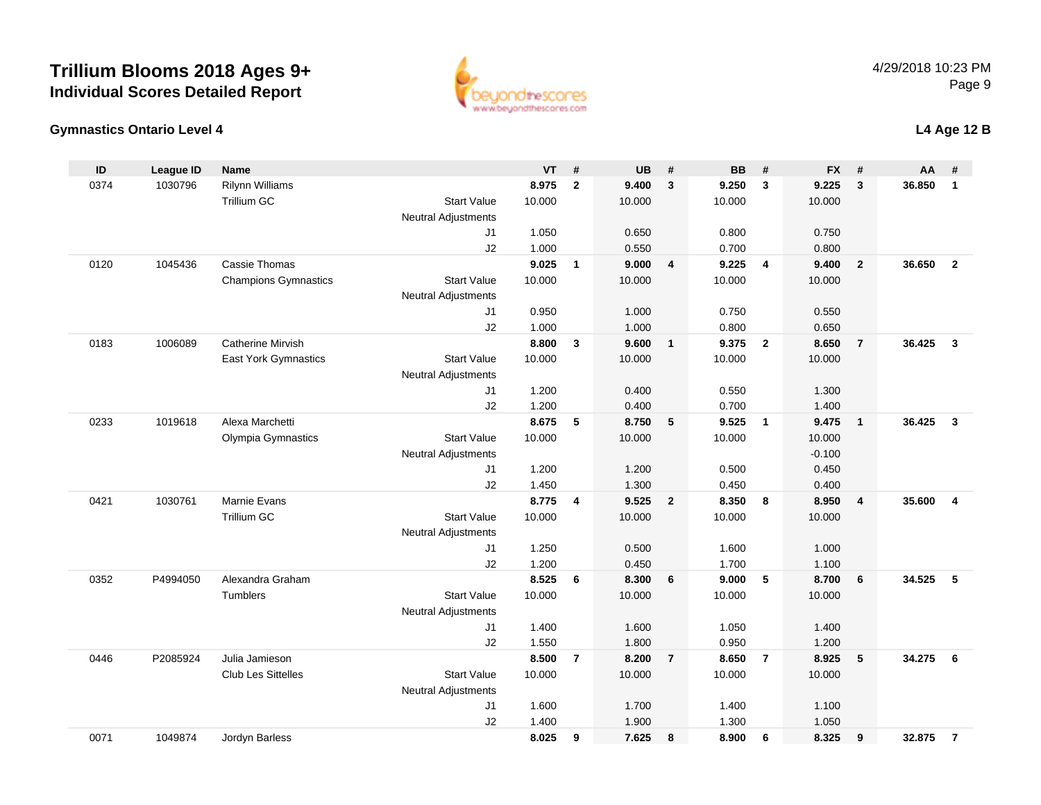

#### **Gymnastics Ontario Level 4**

|  | L4 Age 12 B |
|--|-------------|
|--|-------------|

| ID   | <b>League ID</b> | Name                        |                            | VT             | #              | <b>UB</b>      | #                       | <b>BB</b>      | #              | <b>FX</b>      | #              | <b>AA</b> | #                       |
|------|------------------|-----------------------------|----------------------------|----------------|----------------|----------------|-------------------------|----------------|----------------|----------------|----------------|-----------|-------------------------|
| 0374 | 1030796          | <b>Rilynn Williams</b>      |                            | 8.975          | $\overline{2}$ | 9.400          | $\mathbf{3}$            | 9.250          | 3              | 9.225          | 3              | 36.850    | $\mathbf{1}$            |
|      |                  | <b>Trillium GC</b>          | <b>Start Value</b>         | 10.000         |                | 10.000         |                         | 10.000         |                | 10.000         |                |           |                         |
|      |                  |                             | <b>Neutral Adjustments</b> |                |                |                |                         |                |                |                |                |           |                         |
|      |                  |                             | J1                         | 1.050          |                | 0.650          |                         | 0.800          |                | 0.750          |                |           |                         |
|      |                  |                             | J2                         | 1.000          |                | 0.550          |                         | 0.700          |                | 0.800          |                |           |                         |
| 0120 | 1045436          | Cassie Thomas               |                            | 9.025          | $\mathbf{1}$   | 9.000          | $\overline{4}$          | 9.225          | $\overline{4}$ | 9.400          | $\overline{2}$ | 36.650    | $\overline{2}$          |
|      |                  | <b>Champions Gymnastics</b> | <b>Start Value</b>         | 10.000         |                | 10.000         |                         | 10.000         |                | 10.000         |                |           |                         |
|      |                  |                             | <b>Neutral Adjustments</b> |                |                |                |                         |                |                |                |                |           |                         |
|      |                  |                             | J1                         | 0.950          |                | 1.000          |                         | 0.750          |                | 0.550          |                |           |                         |
|      |                  |                             | J2                         | 1.000          |                | 1.000          |                         | 0.800          |                | 0.650          |                |           |                         |
| 0183 | 1006089          | <b>Catherine Mirvish</b>    |                            | 8.800          | $\mathbf{3}$   | 9.600          | $\overline{1}$          | 9.375          | $\overline{2}$ | 8.650          | $\overline{7}$ | 36.425    | $\overline{\mathbf{3}}$ |
|      |                  | <b>East York Gymnastics</b> | <b>Start Value</b>         | 10.000         |                | 10.000         |                         | 10.000         |                | 10.000         |                |           |                         |
|      |                  |                             | <b>Neutral Adjustments</b> |                |                |                |                         |                |                |                |                |           |                         |
|      |                  |                             | J1<br>J2                   | 1.200<br>1.200 |                | 0.400<br>0.400 |                         | 0.550<br>0.700 |                | 1.300<br>1.400 |                |           |                         |
| 0233 | 1019618          | Alexa Marchetti             |                            | 8.675          | 5              | 8.750          | 5                       | 9.525          | $\overline{1}$ | 9.475          | $\mathbf{1}$   | 36.425    | $\overline{\mathbf{3}}$ |
|      |                  | Olympia Gymnastics          | <b>Start Value</b>         | 10.000         |                | 10.000         |                         | 10.000         |                | 10.000         |                |           |                         |
|      |                  |                             | <b>Neutral Adjustments</b> |                |                |                |                         |                |                | $-0.100$       |                |           |                         |
|      |                  |                             | J1                         | 1.200          |                | 1.200          |                         | 0.500          |                | 0.450          |                |           |                         |
|      |                  |                             | J2                         | 1.450          |                | 1.300          |                         | 0.450          |                | 0.400          |                |           |                         |
| 0421 | 1030761          | Marnie Evans                |                            | 8.775          | $\overline{4}$ | 9.525          | $\overline{\mathbf{2}}$ | 8.350          | 8              | 8.950          | $\overline{4}$ | 35.600    | $\overline{4}$          |
|      |                  | Trillium GC                 | <b>Start Value</b>         | 10.000         |                | 10.000         |                         | 10.000         |                | 10.000         |                |           |                         |
|      |                  |                             | <b>Neutral Adjustments</b> |                |                |                |                         |                |                |                |                |           |                         |
|      |                  |                             | J1                         | 1.250          |                | 0.500          |                         | 1.600          |                | 1.000          |                |           |                         |
|      |                  |                             | J2                         | 1.200          |                | 0.450          |                         | 1.700          |                | 1.100          |                |           |                         |
| 0352 | P4994050         | Alexandra Graham            |                            | 8.525          | 6              | 8.300          | 6                       | 9.000          | 5              | 8.700          | 6              | 34.525    | 5                       |
|      |                  | Tumblers                    | <b>Start Value</b>         | 10.000         |                | 10.000         |                         | 10.000         |                | 10.000         |                |           |                         |
|      |                  |                             | <b>Neutral Adjustments</b> |                |                |                |                         |                |                |                |                |           |                         |
|      |                  |                             | J1                         | 1.400          |                | 1.600          |                         | 1.050          |                | 1.400          |                |           |                         |
|      |                  |                             | J2                         | 1.550          |                | 1.800          |                         | 0.950          |                | 1.200          |                |           |                         |
| 0446 | P2085924         | Julia Jamieson              |                            | 8.500          | $\overline{7}$ | 8.200          | $\overline{7}$          | 8.650          | $\overline{7}$ | 8.925          | 5              | 34.275    | 6                       |
|      |                  | Club Les Sittelles          | <b>Start Value</b>         | 10.000         |                | 10.000         |                         | 10.000         |                | 10.000         |                |           |                         |
|      |                  |                             | <b>Neutral Adjustments</b> |                |                |                |                         |                |                |                |                |           |                         |
|      |                  |                             | J1                         | 1.600          |                | 1.700          |                         | 1.400          |                | 1.100          |                |           |                         |
|      |                  |                             | J2                         | 1.400          |                | 1.900          |                         | 1.300          |                | 1.050          |                |           |                         |
| 0071 | 1049874          | Jordyn Barless              |                            | 8.025          | 9              | 7.625          | 8                       | 8.900          | 6              | 8.325          | 9              | 32.875    | $\overline{7}$          |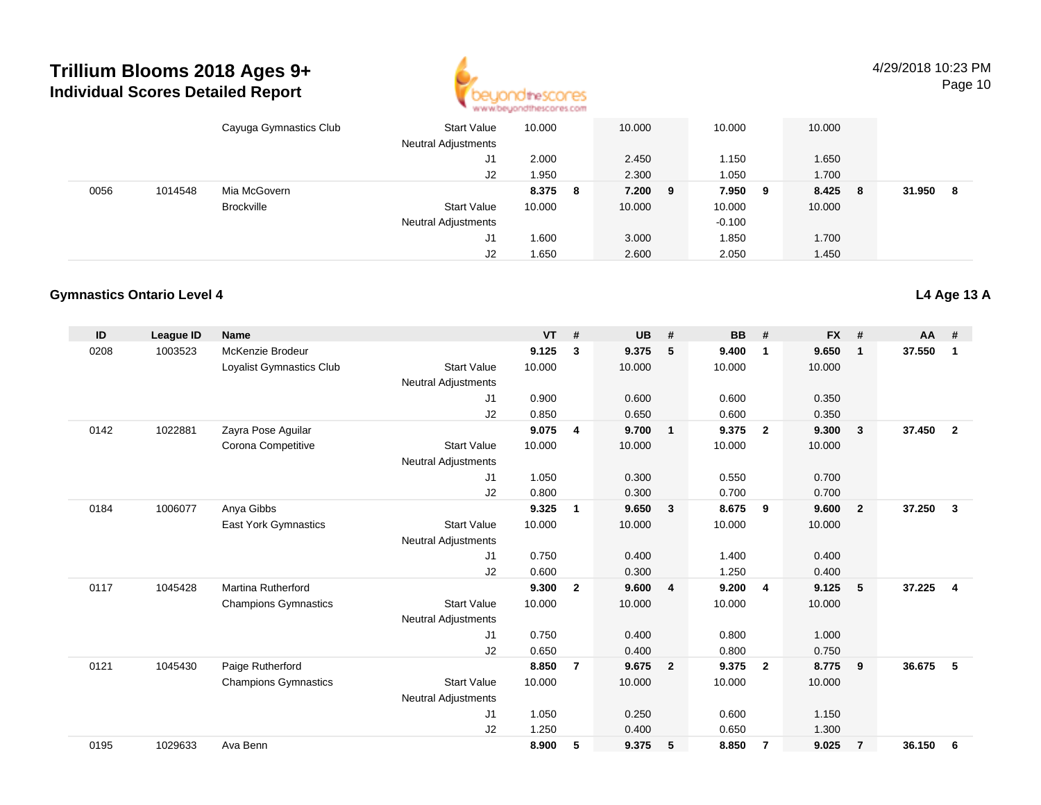

4/29/2018 10:23 PM

Page 10

|      |         | Cayuga Gymnastics Club | <b>Start Value</b><br><b>Neutral Adjustments</b> | 10.000 |   | 10.000  | 10.000   |     | 10.000 |     |        |     |
|------|---------|------------------------|--------------------------------------------------|--------|---|---------|----------|-----|--------|-----|--------|-----|
|      |         |                        | J1                                               | 2.000  |   | 2.450   | 1.150    |     | 1.650  |     |        |     |
|      |         |                        | J2                                               | 1.950  |   | 2.300   | 1.050    |     | 1.700  |     |        |     |
| 0056 | 1014548 | Mia McGovern           |                                                  | 8.375  | 8 | 7.200 9 | 7.950    | - 9 | 8.425  | - 8 | 31.950 | - 8 |
|      |         | <b>Brockville</b>      | <b>Start Value</b>                               | 10.000 |   | 10.000  | 10.000   |     | 10.000 |     |        |     |
|      |         |                        | <b>Neutral Adjustments</b>                       |        |   |         | $-0.100$ |     |        |     |        |     |
|      |         |                        | J1                                               | .600   |   | 3.000   | 1.850    |     | 1.700  |     |        |     |
|      |         |                        | J2                                               | 1.650  |   | 2.600   | 2.050    |     | 1.450  |     |        |     |

#### **Gymnastics Ontario Level 4**

| ID   | League ID | <b>Name</b>                 |                            | <b>VT</b> | #              | <b>UB</b> | #              | <b>BB</b> | #              | <b>FX</b> | #              | $AA$ # |                |
|------|-----------|-----------------------------|----------------------------|-----------|----------------|-----------|----------------|-----------|----------------|-----------|----------------|--------|----------------|
| 0208 | 1003523   | McKenzie Brodeur            |                            | 9.125     | 3              | 9.375     | 5              | 9.400     | $\mathbf 1$    | 9.650     | $\mathbf 1$    | 37.550 | 1              |
|      |           | Loyalist Gymnastics Club    | <b>Start Value</b>         | 10.000    |                | 10.000    |                | 10.000    |                | 10.000    |                |        |                |
|      |           |                             | Neutral Adjustments        |           |                |           |                |           |                |           |                |        |                |
|      |           |                             | J1                         | 0.900     |                | 0.600     |                | 0.600     |                | 0.350     |                |        |                |
|      |           |                             | J2                         | 0.850     |                | 0.650     |                | 0.600     |                | 0.350     |                |        |                |
| 0142 | 1022881   | Zayra Pose Aguilar          |                            | 9.075     | $\overline{4}$ | 9.700     | $\overline{1}$ | 9.375     | $\overline{2}$ | 9.300     | $\mathbf{3}$   | 37.450 | $\overline{2}$ |
|      |           | Corona Competitive          | <b>Start Value</b>         | 10.000    |                | 10.000    |                | 10.000    |                | 10.000    |                |        |                |
|      |           |                             | <b>Neutral Adjustments</b> |           |                |           |                |           |                |           |                |        |                |
|      |           |                             | J1                         | 1.050     |                | 0.300     |                | 0.550     |                | 0.700     |                |        |                |
|      |           |                             | J2                         | 0.800     |                | 0.300     |                | 0.700     |                | 0.700     |                |        |                |
| 0184 | 1006077   | Anya Gibbs                  |                            | 9.325     | 1              | 9.650     | $\mathbf{3}$   | 8.675     | 9              | 9.600     | $\overline{2}$ | 37.250 | $\mathbf{3}$   |
|      |           | <b>East York Gymnastics</b> | <b>Start Value</b>         | 10.000    |                | 10.000    |                | 10.000    |                | 10.000    |                |        |                |
|      |           |                             | <b>Neutral Adjustments</b> |           |                |           |                |           |                |           |                |        |                |
|      |           |                             | J1                         | 0.750     |                | 0.400     |                | 1.400     |                | 0.400     |                |        |                |
|      |           |                             | J2                         | 0.600     |                | 0.300     |                | 1.250     |                | 0.400     |                |        |                |
| 0117 | 1045428   | <b>Martina Rutherford</b>   |                            | 9.300     | $\overline{2}$ | 9.600     | $\overline{4}$ | 9.200     | $\overline{4}$ | 9.125     | 5              | 37.225 | $\overline{4}$ |
|      |           | <b>Champions Gymnastics</b> | <b>Start Value</b>         | 10.000    |                | 10.000    |                | 10.000    |                | 10.000    |                |        |                |
|      |           |                             | <b>Neutral Adjustments</b> |           |                |           |                |           |                |           |                |        |                |
|      |           |                             | J1                         | 0.750     |                | 0.400     |                | 0.800     |                | 1.000     |                |        |                |
|      |           |                             | J2                         | 0.650     |                | 0.400     |                | 0.800     |                | 0.750     |                |        |                |
| 0121 | 1045430   | Paige Rutherford            |                            | 8.850     | $\overline{7}$ | 9.675     | $\overline{2}$ | 9.375     | $\overline{2}$ | 8.775     | 9              | 36.675 | 5              |
|      |           | <b>Champions Gymnastics</b> | <b>Start Value</b>         | 10.000    |                | 10.000    |                | 10.000    |                | 10.000    |                |        |                |
|      |           |                             | <b>Neutral Adjustments</b> |           |                |           |                |           |                |           |                |        |                |
|      |           |                             | J <sub>1</sub>             | 1.050     |                | 0.250     |                | 0.600     |                | 1.150     |                |        |                |
|      |           |                             | J2                         | 1.250     |                | 0.400     |                | 0.650     |                | 1.300     |                |        |                |
| 0195 | 1029633   | Ava Benn                    |                            | 8.900     | 5              | 9.375     | 5              | 8.850     | -7             | 9.025     | $\overline{7}$ | 36.150 | 6              |

**L4 Age 13 A**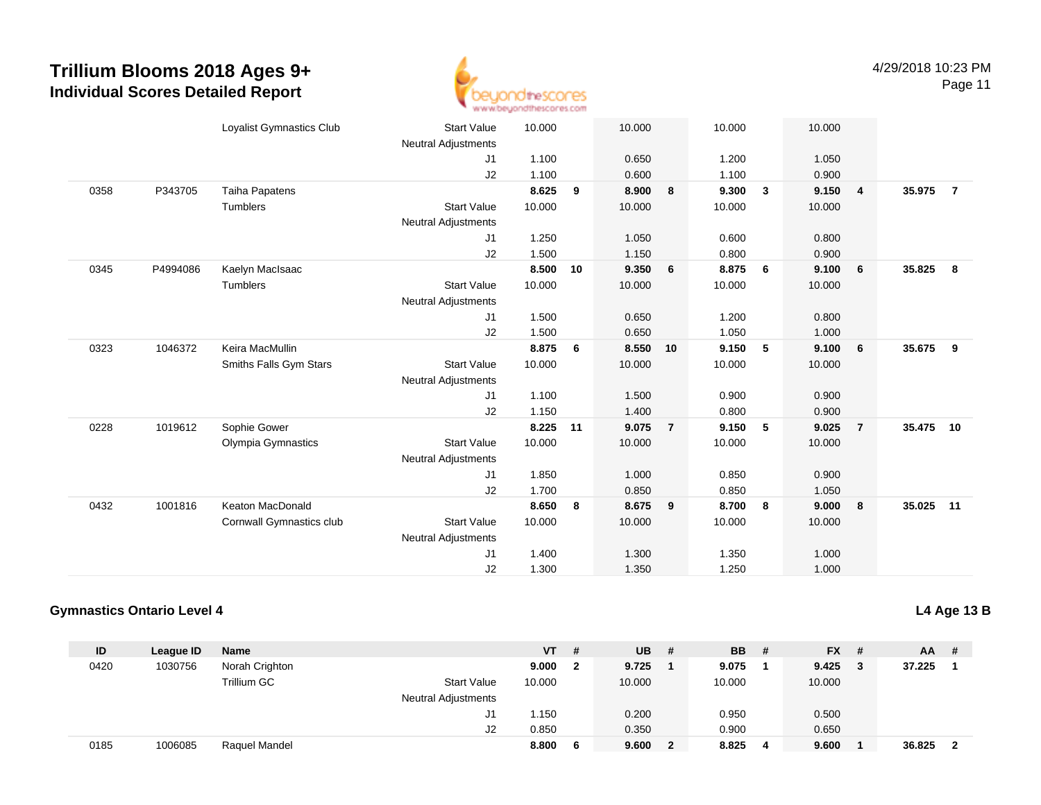

Page 11

|      |          | Loyalist Gymnastics Club | <b>Start Value</b>         | 10.000 |    | 10.000 |                | 10.000 |              | 10.000 |                |           |                         |
|------|----------|--------------------------|----------------------------|--------|----|--------|----------------|--------|--------------|--------|----------------|-----------|-------------------------|
|      |          |                          | <b>Neutral Adjustments</b> |        |    |        |                |        |              |        |                |           |                         |
|      |          |                          | J1                         | 1.100  |    | 0.650  |                | 1.200  |              | 1.050  |                |           |                         |
|      |          |                          | J2                         | 1.100  |    | 0.600  |                | 1.100  |              | 0.900  |                |           |                         |
| 0358 | P343705  | <b>Taiha Papatens</b>    |                            | 8.625  | 9  | 8.900  | 8              | 9.300  | $\mathbf{3}$ | 9.150  | $\overline{4}$ | 35.975    | $\overline{7}$          |
|      |          | <b>Tumblers</b>          | <b>Start Value</b>         | 10.000 |    | 10.000 |                | 10.000 |              | 10.000 |                |           |                         |
|      |          |                          | <b>Neutral Adjustments</b> |        |    |        |                |        |              |        |                |           |                         |
|      |          |                          | J1                         | 1.250  |    | 1.050  |                | 0.600  |              | 0.800  |                |           |                         |
|      |          |                          | J2                         | 1.500  |    | 1.150  |                | 0.800  |              | 0.900  |                |           |                         |
| 0345 | P4994086 | Kaelyn MacIsaac          |                            | 8.500  | 10 | 9.350  | 6              | 8.875  | 6            | 9.100  | 6              | 35.825    | $\overline{\mathbf{8}}$ |
|      |          | Tumblers                 | <b>Start Value</b>         | 10.000 |    | 10.000 |                | 10.000 |              | 10.000 |                |           |                         |
|      |          |                          | <b>Neutral Adjustments</b> |        |    |        |                |        |              |        |                |           |                         |
|      |          |                          | J <sub>1</sub>             | 1.500  |    | 0.650  |                | 1.200  |              | 0.800  |                |           |                         |
|      |          |                          | J2                         | 1.500  |    | 0.650  |                | 1.050  |              | 1.000  |                |           |                         |
| 0323 | 1046372  | Keira MacMullin          |                            | 8.875  | 6  | 8.550  | 10             | 9.150  | 5            | 9.100  | 6              | 35.675 9  |                         |
|      |          | Smiths Falls Gym Stars   | <b>Start Value</b>         | 10.000 |    | 10.000 |                | 10.000 |              | 10.000 |                |           |                         |
|      |          |                          | <b>Neutral Adjustments</b> |        |    |        |                |        |              |        |                |           |                         |
|      |          |                          | J1                         | 1.100  |    | 1.500  |                | 0.900  |              | 0.900  |                |           |                         |
|      |          |                          | J2                         | 1.150  |    | 1.400  |                | 0.800  |              | 0.900  |                |           |                         |
| 0228 | 1019612  | Sophie Gower             |                            | 8.225  | 11 | 9.075  | $\overline{7}$ | 9.150  | 5            | 9.025  | $\overline{7}$ | 35.475 10 |                         |
|      |          | Olympia Gymnastics       | <b>Start Value</b>         | 10.000 |    | 10.000 |                | 10.000 |              | 10.000 |                |           |                         |
|      |          |                          | <b>Neutral Adjustments</b> |        |    |        |                |        |              |        |                |           |                         |
|      |          |                          | J1                         | 1.850  |    | 1.000  |                | 0.850  |              | 0.900  |                |           |                         |
|      |          |                          | J2                         | 1.700  |    | 0.850  |                | 0.850  |              | 1.050  |                |           |                         |
| 0432 | 1001816  | Keaton MacDonald         |                            | 8.650  | 8  | 8.675  | 9              | 8.700  | 8            | 9.000  | 8              | 35.025 11 |                         |
|      |          | Cornwall Gymnastics club | <b>Start Value</b>         | 10.000 |    | 10.000 |                | 10.000 |              | 10.000 |                |           |                         |
|      |          |                          | <b>Neutral Adjustments</b> |        |    |        |                |        |              |        |                |           |                         |
|      |          |                          | J <sub>1</sub>             | 1.400  |    | 1.300  |                | 1.350  |              | 1.000  |                |           |                         |
|      |          |                          | J2                         | 1.300  |    | 1.350  |                | 1.250  |              | 1.000  |                |           |                         |
|      |          |                          |                            |        |    |        |                |        |              |        |                |           |                         |

#### **Gymnastics Ontario Level 4**

**L4 Age 13 B**

| ID   | League ID | <b>Name</b>    |                            | <b>VT</b> | # | UB.    | # | <b>BB</b> | - # | $FX$ # | <b>AA</b> | - #                     |
|------|-----------|----------------|----------------------------|-----------|---|--------|---|-----------|-----|--------|-----------|-------------------------|
| 0420 | 1030756   | Norah Crighton |                            | 9.000     |   | 9.725  |   | 9.075     |     | 9.425  | 37.225    |                         |
|      |           | Trillium GC    | <b>Start Value</b>         | 10.000    |   | 10.000 |   | 10.000    |     | 10.000 |           |                         |
|      |           |                | <b>Neutral Adjustments</b> |           |   |        |   |           |     |        |           |                         |
|      |           |                | J1                         | 1.150     |   | 0.200  |   | 0.950     |     | 0.500  |           |                         |
|      |           |                | J2                         | 0.850     |   | 0.350  |   | 0.900     |     | 0.650  |           |                         |
| 0185 | 1006085   | Raquel Mandel  |                            | 8.800     | 6 | 9.600  | 2 | 8.825     | 4   | 9.600  | 36.825    | $\overline{\mathbf{2}}$ |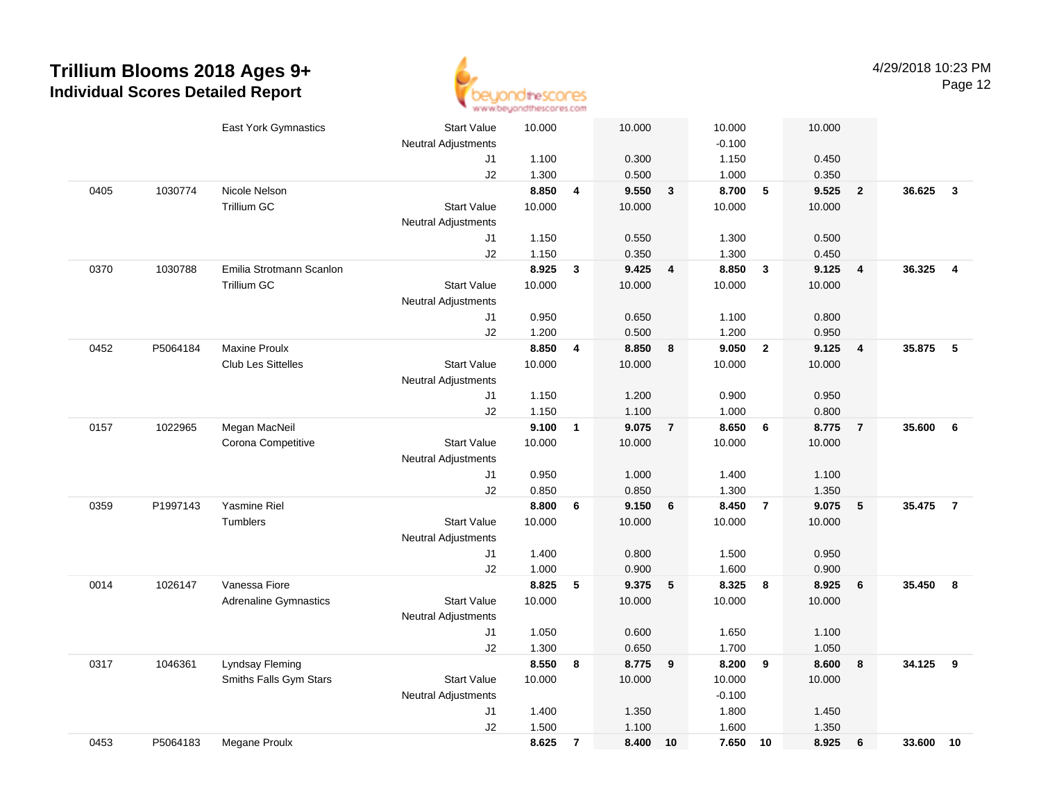

|      |          | East York Gymnastics         | <b>Start Value</b>         | 10.000 |                | 10.000 |                         | 10.000   |                | 10.000 |                         |        |                         |
|------|----------|------------------------------|----------------------------|--------|----------------|--------|-------------------------|----------|----------------|--------|-------------------------|--------|-------------------------|
|      |          |                              | Neutral Adjustments        |        |                |        |                         | $-0.100$ |                |        |                         |        |                         |
|      |          |                              | J1                         | 1.100  |                | 0.300  |                         | 1.150    |                | 0.450  |                         |        |                         |
|      |          |                              | J2                         | 1.300  |                | 0.500  |                         | 1.000    |                | 0.350  |                         |        |                         |
| 0405 | 1030774  | Nicole Nelson                |                            | 8.850  | 4              | 9.550  | $\mathbf{3}$            | 8.700    | 5              | 9.525  | $\overline{\mathbf{2}}$ | 36.625 | $\mathbf{3}$            |
|      |          | Trillium GC                  | <b>Start Value</b>         | 10.000 |                | 10.000 |                         | 10.000   |                | 10.000 |                         |        |                         |
|      |          |                              | <b>Neutral Adjustments</b> |        |                |        |                         |          |                |        |                         |        |                         |
|      |          |                              | J1                         | 1.150  |                | 0.550  |                         | 1.300    |                | 0.500  |                         |        |                         |
|      |          |                              | J2                         | 1.150  |                | 0.350  |                         | 1.300    |                | 0.450  |                         |        |                         |
| 0370 | 1030788  | Emilia Strotmann Scanlon     |                            | 8.925  | 3              | 9.425  | $\overline{\mathbf{4}}$ | 8.850    | $\mathbf{3}$   | 9.125  | $\overline{4}$          | 36.325 | $\overline{\mathbf{4}}$ |
|      |          | <b>Trillium GC</b>           | <b>Start Value</b>         | 10.000 |                | 10.000 |                         | 10.000   |                | 10.000 |                         |        |                         |
|      |          |                              | <b>Neutral Adjustments</b> |        |                |        |                         |          |                |        |                         |        |                         |
|      |          |                              | J1                         | 0.950  |                | 0.650  |                         | 1.100    |                | 0.800  |                         |        |                         |
|      |          |                              | J2                         | 1.200  |                | 0.500  |                         | 1.200    |                | 0.950  |                         |        |                         |
| 0452 | P5064184 | <b>Maxine Proulx</b>         |                            | 8.850  | 4              | 8.850  | 8                       | 9.050    | $\overline{2}$ | 9.125  | $\overline{4}$          | 35.875 | 5                       |
|      |          | <b>Club Les Sittelles</b>    | <b>Start Value</b>         | 10.000 |                | 10.000 |                         | 10.000   |                | 10.000 |                         |        |                         |
|      |          |                              | <b>Neutral Adjustments</b> |        |                |        |                         |          |                |        |                         |        |                         |
|      |          |                              | J1                         | 1.150  |                | 1.200  |                         | 0.900    |                | 0.950  |                         |        |                         |
|      |          |                              | J2                         | 1.150  |                | 1.100  |                         | 1.000    |                | 0.800  |                         |        |                         |
| 0157 | 1022965  | Megan MacNeil                |                            | 9.100  | $\mathbf{1}$   | 9.075  | $\overline{7}$          | 8.650    | 6              | 8.775  | $\overline{7}$          | 35,600 | 6                       |
|      |          | Corona Competitive           | <b>Start Value</b>         | 10.000 |                | 10.000 |                         | 10.000   |                | 10.000 |                         |        |                         |
|      |          |                              | <b>Neutral Adjustments</b> |        |                |        |                         |          |                |        |                         |        |                         |
|      |          |                              | J1                         | 0.950  |                | 1.000  |                         | 1.400    |                | 1.100  |                         |        |                         |
|      |          |                              | J2                         | 0.850  |                | 0.850  |                         | 1.300    |                | 1.350  |                         |        |                         |
| 0359 | P1997143 | Yasmine Riel                 |                            | 8.800  | 6              | 9.150  | 6                       | 8.450    | $\overline{7}$ | 9.075  | $\sqrt{5}$              | 35.475 | $\overline{7}$          |
|      |          | Tumblers                     | <b>Start Value</b>         | 10.000 |                | 10.000 |                         | 10.000   |                | 10.000 |                         |        |                         |
|      |          |                              | <b>Neutral Adjustments</b> |        |                |        |                         |          |                |        |                         |        |                         |
|      |          |                              | J1                         | 1.400  |                | 0.800  |                         | 1.500    |                | 0.950  |                         |        |                         |
|      |          |                              | J2                         | 1.000  |                | 0.900  |                         | 1.600    |                | 0.900  |                         |        |                         |
| 0014 | 1026147  | Vanessa Fiore                |                            | 8.825  | 5              | 9.375  | 5                       | 8.325    | 8              | 8.925  | 6                       | 35.450 | 8                       |
|      |          | <b>Adrenaline Gymnastics</b> | <b>Start Value</b>         | 10.000 |                | 10.000 |                         | 10.000   |                | 10.000 |                         |        |                         |
|      |          |                              | <b>Neutral Adjustments</b> |        |                |        |                         |          |                |        |                         |        |                         |
|      |          |                              | J1                         | 1.050  |                | 0.600  |                         | 1.650    |                | 1.100  |                         |        |                         |
|      |          |                              | J2                         | 1.300  |                | 0.650  |                         | 1.700    |                | 1.050  |                         |        |                         |
| 0317 | 1046361  | Lyndsay Fleming              |                            | 8.550  | 8              | 8.775  | 9                       | 8.200    | 9              | 8.600  | $\pmb{8}$               | 34.125 | 9                       |
|      |          | Smiths Falls Gym Stars       | <b>Start Value</b>         | 10.000 |                | 10.000 |                         | 10.000   |                | 10.000 |                         |        |                         |
|      |          |                              | <b>Neutral Adjustments</b> |        |                |        |                         | $-0.100$ |                |        |                         |        |                         |
|      |          |                              | J1                         | 1.400  |                | 1.350  |                         | 1.800    |                | 1.450  |                         |        |                         |
|      |          |                              | J2                         | 1.500  |                | 1.100  |                         | 1.600    |                | 1.350  |                         |        |                         |
| 0453 | P5064183 | Megane Proulx                |                            | 8.625  | $\overline{7}$ | 8.400  | 10                      | 7.650    | 10             | 8.925  | 6                       | 33.600 | 10                      |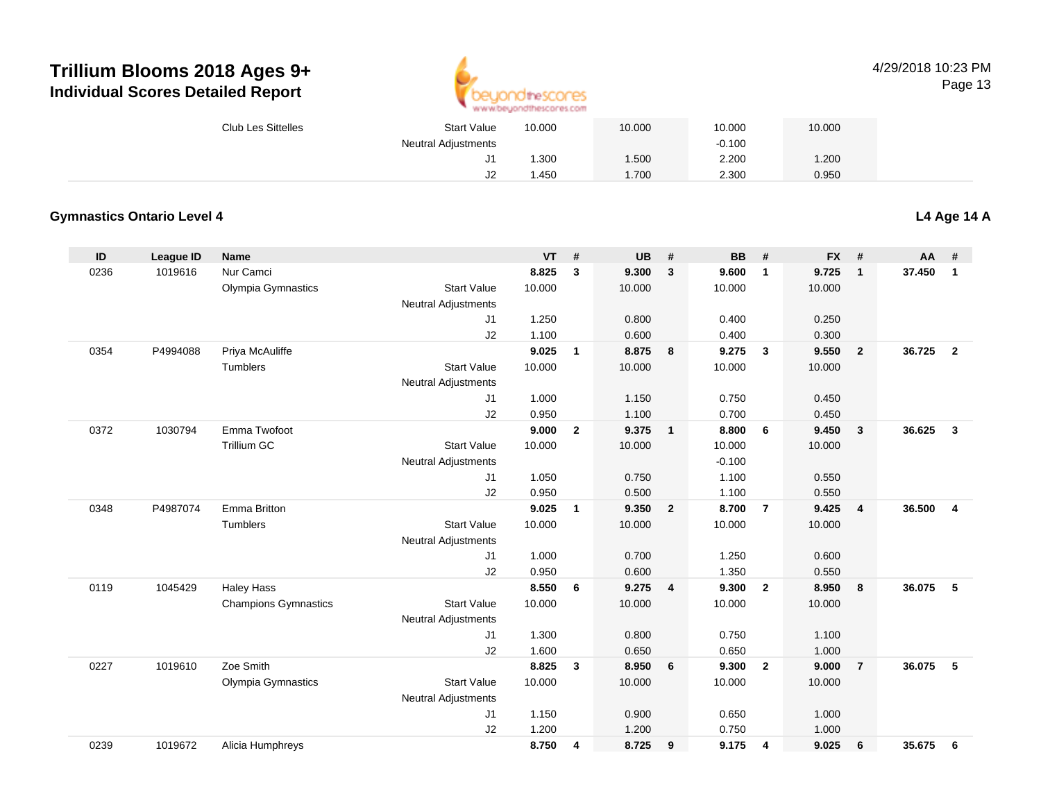

| <b>Club Les Sittelles</b> | <b>Start Value</b>         | 10.000 | 10.000 | 10.000   | 10.000 |  |
|---------------------------|----------------------------|--------|--------|----------|--------|--|
|                           | <b>Neutral Adjustments</b> |        |        | $-0.100$ |        |  |
|                           | J1                         | .300   | .500   | 2.200    | .200   |  |
|                           | J2                         | .450   | .700   | 2.300    | 0.950  |  |

#### **Gymnastics Ontario Level 4**

**L4 Age 14 A**

| ID   | <b>League ID</b> | Name                        |                            | <b>VT</b> | #              | UB     | #                       | <b>BB</b> | #                       | <b>FX</b> | #              | <b>AA</b> | #              |
|------|------------------|-----------------------------|----------------------------|-----------|----------------|--------|-------------------------|-----------|-------------------------|-----------|----------------|-----------|----------------|
| 0236 | 1019616          | Nur Camci                   |                            | 8.825     | 3              | 9.300  | $\mathbf{3}$            | 9.600     | $\overline{1}$          | 9.725     | $\mathbf{1}$   | 37.450    | $\mathbf{1}$   |
|      |                  | Olympia Gymnastics          | <b>Start Value</b>         | 10.000    |                | 10.000 |                         | 10.000    |                         | 10.000    |                |           |                |
|      |                  |                             | <b>Neutral Adjustments</b> |           |                |        |                         |           |                         |           |                |           |                |
|      |                  |                             | J1                         | 1.250     |                | 0.800  |                         | 0.400     |                         | 0.250     |                |           |                |
|      |                  |                             | J2                         | 1.100     |                | 0.600  |                         | 0.400     |                         | 0.300     |                |           |                |
| 0354 | P4994088         | Priya McAuliffe             |                            | 9.025     | $\mathbf{1}$   | 8.875  | 8                       | 9.275     | $\overline{\mathbf{3}}$ | 9.550     | $\overline{2}$ | 36.725    | $\overline{2}$ |
|      |                  | <b>Tumblers</b>             | <b>Start Value</b>         | 10.000    |                | 10.000 |                         | 10.000    |                         | 10.000    |                |           |                |
|      |                  |                             | <b>Neutral Adjustments</b> |           |                |        |                         |           |                         |           |                |           |                |
|      |                  |                             | J <sub>1</sub>             | 1.000     |                | 1.150  |                         | 0.750     |                         | 0.450     |                |           |                |
|      |                  |                             | J2                         | 0.950     |                | 1.100  |                         | 0.700     |                         | 0.450     |                |           |                |
| 0372 | 1030794          | Emma Twofoot                |                            | 9.000     | $\overline{2}$ | 9.375  | $\overline{1}$          | 8.800     | 6                       | 9.450     | $\mathbf{3}$   | 36.625    | $\mathbf{3}$   |
|      |                  | <b>Trillium GC</b>          | <b>Start Value</b>         | 10.000    |                | 10.000 |                         | 10.000    |                         | 10.000    |                |           |                |
|      |                  |                             | <b>Neutral Adjustments</b> |           |                |        |                         | $-0.100$  |                         |           |                |           |                |
|      |                  |                             | J1                         | 1.050     |                | 0.750  |                         | 1.100     |                         | 0.550     |                |           |                |
|      |                  |                             | J2                         | 0.950     |                | 0.500  |                         | 1.100     |                         | 0.550     |                |           |                |
| 0348 | P4987074         | <b>Emma Britton</b>         |                            | 9.025     | $\mathbf{1}$   | 9.350  | $\overline{\mathbf{2}}$ | 8.700     | $\overline{7}$          | 9.425     | $\overline{4}$ | 36.500    | $\overline{4}$ |
|      |                  | <b>Tumblers</b>             | <b>Start Value</b>         | 10.000    |                | 10.000 |                         | 10.000    |                         | 10.000    |                |           |                |
|      |                  |                             | <b>Neutral Adjustments</b> |           |                |        |                         |           |                         |           |                |           |                |
|      |                  |                             | J1                         | 1.000     |                | 0.700  |                         | 1.250     |                         | 0.600     |                |           |                |
|      |                  |                             | J2                         | 0.950     |                | 0.600  |                         | 1.350     |                         | 0.550     |                |           |                |
| 0119 | 1045429          | <b>Haley Hass</b>           |                            | 8.550     | 6              | 9.275  | $\overline{4}$          | 9.300     | $\overline{2}$          | 8.950     | 8              | 36.075    | 5              |
|      |                  | <b>Champions Gymnastics</b> | <b>Start Value</b>         | 10.000    |                | 10.000 |                         | 10.000    |                         | 10.000    |                |           |                |
|      |                  |                             | <b>Neutral Adjustments</b> |           |                |        |                         |           |                         |           |                |           |                |
|      |                  |                             | J1                         | 1.300     |                | 0.800  |                         | 0.750     |                         | 1.100     |                |           |                |
|      |                  |                             | J2                         | 1.600     |                | 0.650  |                         | 0.650     |                         | 1.000     |                |           |                |
| 0227 | 1019610          | Zoe Smith                   |                            | 8.825     | 3              | 8.950  | 6                       | 9.300     | $\overline{2}$          | 9.000     | $\overline{7}$ | 36.075    | 5              |
|      |                  | Olympia Gymnastics          | <b>Start Value</b>         | 10.000    |                | 10.000 |                         | 10.000    |                         | 10.000    |                |           |                |
|      |                  |                             | <b>Neutral Adjustments</b> |           |                |        |                         |           |                         |           |                |           |                |
|      |                  |                             | J1                         | 1.150     |                | 0.900  |                         | 0.650     |                         | 1.000     |                |           |                |
|      |                  |                             | J2                         | 1.200     |                | 1.200  |                         | 0.750     |                         | 1.000     |                |           |                |
| 0239 | 1019672          | Alicia Humphreys            |                            | 8.750     | 4              | 8.725  | 9                       | 9.175     | 4                       | 9.025     | 6              | 35.675    | 6              |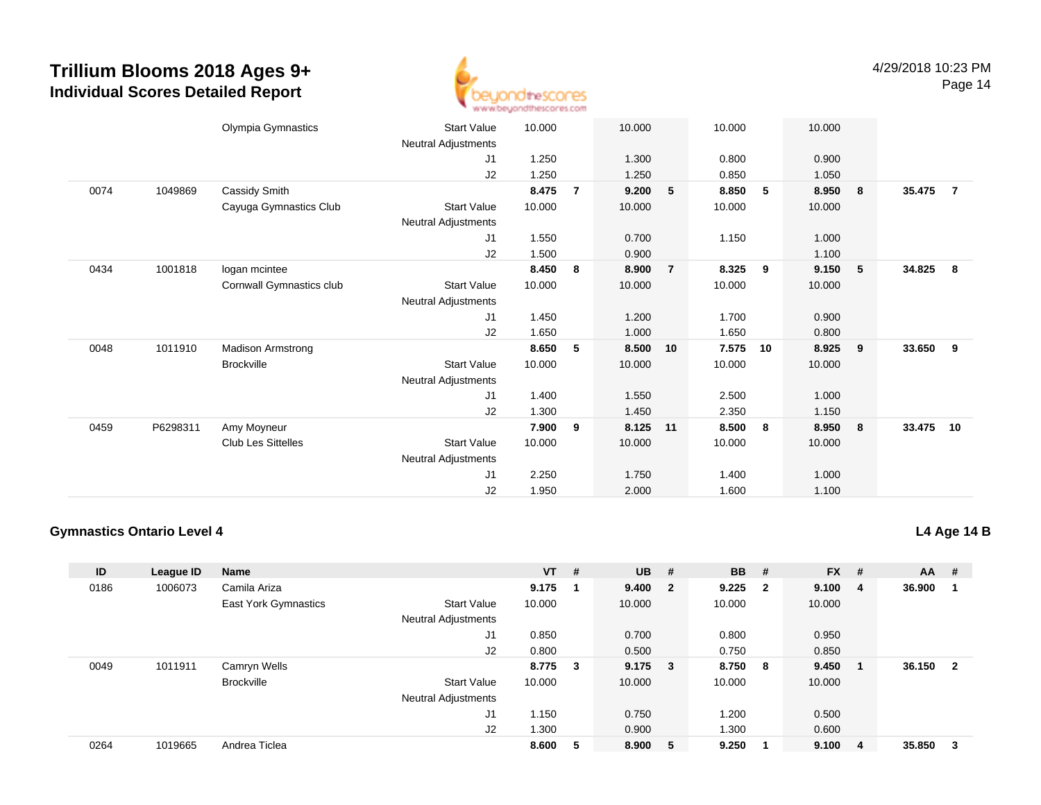

|      |          | Olympia Gymnastics        | <b>Start Value</b>         | 10.000 |                | 10.000 |                | 10.000 |    | 10.000 |     |        |                |
|------|----------|---------------------------|----------------------------|--------|----------------|--------|----------------|--------|----|--------|-----|--------|----------------|
|      |          |                           | Neutral Adjustments        |        |                |        |                |        |    |        |     |        |                |
|      |          |                           | J1                         | 1.250  |                | 1.300  |                | 0.800  |    | 0.900  |     |        |                |
|      |          |                           | J2                         | 1.250  |                | 1.250  |                | 0.850  |    | 1.050  |     |        |                |
| 0074 | 1049869  | Cassidy Smith             |                            | 8.475  | $\overline{7}$ | 9.200  | 5              | 8.850  | 5  | 8.950  | 8   | 35.475 | $\overline{7}$ |
|      |          | Cayuga Gymnastics Club    | <b>Start Value</b>         | 10.000 |                | 10.000 |                | 10.000 |    | 10.000 |     |        |                |
|      |          |                           | Neutral Adjustments        |        |                |        |                |        |    |        |     |        |                |
|      |          |                           | J1                         | 1.550  |                | 0.700  |                | 1.150  |    | 1.000  |     |        |                |
|      |          |                           | J2                         | 1.500  |                | 0.900  |                |        |    | 1.100  |     |        |                |
| 0434 | 1001818  | logan mcintee             |                            | 8.450  | 8              | 8.900  | $\overline{7}$ | 8.325  | 9  | 9.150  | - 5 | 34.825 | - 8            |
|      |          | Cornwall Gymnastics club  | <b>Start Value</b>         | 10.000 |                | 10.000 |                | 10.000 |    | 10.000 |     |        |                |
|      |          |                           | Neutral Adjustments        |        |                |        |                |        |    |        |     |        |                |
|      |          |                           | J1                         | 1.450  |                | 1.200  |                | 1.700  |    | 0.900  |     |        |                |
|      |          |                           | J2                         | 1.650  |                | 1.000  |                | 1.650  |    | 0.800  |     |        |                |
| 0048 | 1011910  | Madison Armstrong         |                            | 8.650  | 5              | 8.500  | 10             | 7.575  | 10 | 8.925  | 9   | 33.650 | - 9            |
|      |          | <b>Brockville</b>         | <b>Start Value</b>         | 10.000 |                | 10.000 |                | 10.000 |    | 10.000 |     |        |                |
|      |          |                           | Neutral Adjustments        |        |                |        |                |        |    |        |     |        |                |
|      |          |                           | J1                         | 1.400  |                | 1.550  |                | 2.500  |    | 1.000  |     |        |                |
|      |          |                           | J2                         | 1.300  |                | 1.450  |                | 2.350  |    | 1.150  |     |        |                |
| 0459 | P6298311 | Amy Moyneur               |                            | 7.900  | 9              | 8.125  | 11             | 8.500  | 8  | 8.950  | 8   | 33.475 | 10             |
|      |          | <b>Club Les Sittelles</b> | <b>Start Value</b>         | 10.000 |                | 10.000 |                | 10.000 |    | 10.000 |     |        |                |
|      |          |                           | <b>Neutral Adjustments</b> |        |                |        |                |        |    |        |     |        |                |
|      |          |                           | J <sub>1</sub>             | 2.250  |                | 1.750  |                | 1.400  |    | 1.000  |     |        |                |
|      |          |                           | J <sub>2</sub>             | 1.950  |                | 2.000  |                | 1.600  |    | 1.100  |     |        |                |

#### **Gymnastics Ontario Level 4**

**L4 Age 14 B**

| ID   | League ID | <b>Name</b>          |                            | $VT$ #  |   | $UB$ #    |   | <b>BB</b> | #                       | $FX$ # |     | <b>AA</b> | - #                     |
|------|-----------|----------------------|----------------------------|---------|---|-----------|---|-----------|-------------------------|--------|-----|-----------|-------------------------|
| 0186 | 1006073   | Camila Ariza         |                            | 9.175   |   | 9.400 2   |   | 9.225     | $\overline{\mathbf{2}}$ | 9.100  | - 4 | 36.900    |                         |
|      |           | East York Gymnastics | <b>Start Value</b>         | 10.000  |   | 10.000    |   | 10.000    |                         | 10.000 |     |           |                         |
|      |           |                      | <b>Neutral Adjustments</b> |         |   |           |   |           |                         |        |     |           |                         |
|      |           |                      | J <sub>1</sub>             | 0.850   |   | 0.700     |   | 0.800     |                         | 0.950  |     |           |                         |
|      |           |                      | J2                         | 0.800   |   | 0.500     |   | 0.750     |                         | 0.850  |     |           |                         |
| 0049 | 1011911   | Camryn Wells         |                            | 8.775 3 |   | $9.175$ 3 |   | 8.750     | - 8                     | 9.450  |     | 36.150    | $\overline{\mathbf{2}}$ |
|      |           | <b>Brockville</b>    | <b>Start Value</b>         | 10.000  |   | 10.000    |   | 10.000    |                         | 10.000 |     |           |                         |
|      |           |                      | <b>Neutral Adjustments</b> |         |   |           |   |           |                         |        |     |           |                         |
|      |           |                      | J1                         | 1.150   |   | 0.750     |   | 1.200     |                         | 0.500  |     |           |                         |
|      |           |                      | J2                         | 1.300   |   | 0.900     |   | 1.300     |                         | 0.600  |     |           |                         |
| 0264 | 1019665   | Andrea Ticlea        |                            | 8.600   | 5 | 8.900     | 5 | 9.250     |                         | 9.100  | -4  | 35.850    | -3                      |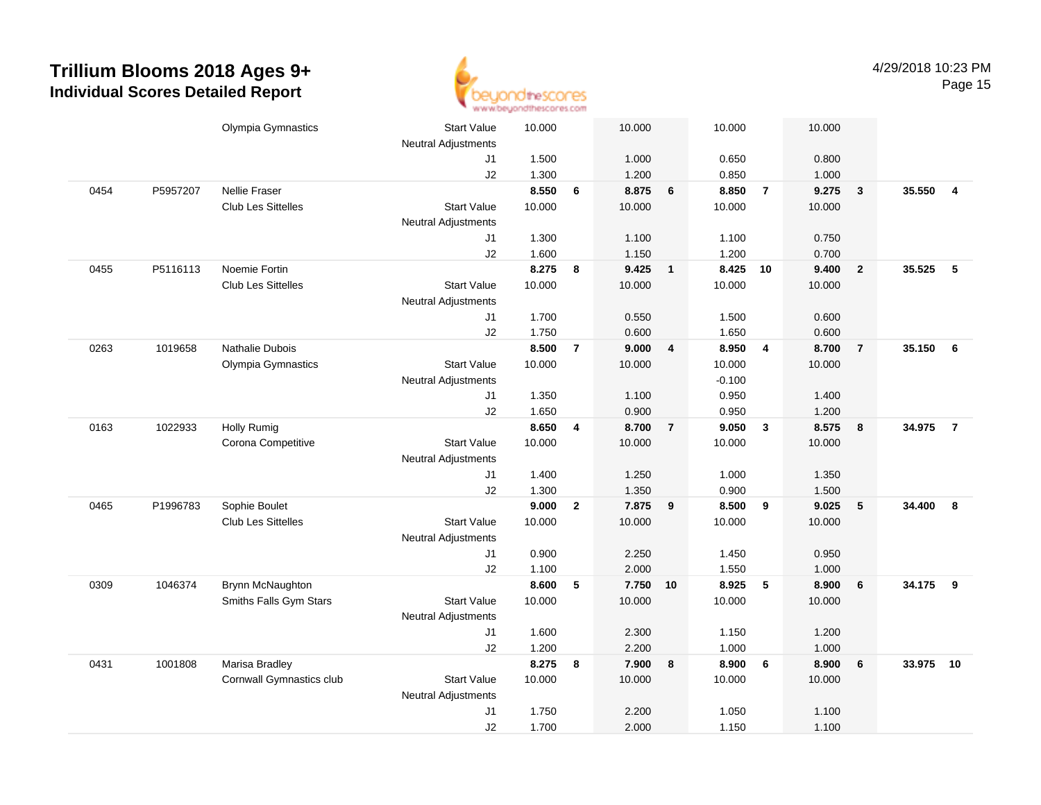

|      |          | Olympia Gymnastics        | <b>Start Value</b>         | 10.000 |                | 10.000 |                         | 10.000   |                         | 10.000 |                         |        |                |
|------|----------|---------------------------|----------------------------|--------|----------------|--------|-------------------------|----------|-------------------------|--------|-------------------------|--------|----------------|
|      |          |                           | Neutral Adjustments        |        |                |        |                         |          |                         |        |                         |        |                |
|      |          |                           | J1                         | 1.500  |                | 1.000  |                         | 0.650    |                         | 0.800  |                         |        |                |
|      |          |                           | J2                         | 1.300  |                | 1.200  |                         | 0.850    |                         | 1.000  |                         |        |                |
| 0454 | P5957207 | <b>Nellie Fraser</b>      |                            | 8.550  | 6              | 8.875  | $6\phantom{1}$          | 8.850    | $\overline{7}$          | 9.275  | $\overline{\mathbf{3}}$ | 35.550 | $\overline{4}$ |
|      |          | Club Les Sittelles        | <b>Start Value</b>         | 10.000 |                | 10.000 |                         | 10.000   |                         | 10.000 |                         |        |                |
|      |          |                           | <b>Neutral Adjustments</b> |        |                |        |                         |          |                         |        |                         |        |                |
|      |          |                           | J1                         | 1.300  |                | 1.100  |                         | 1.100    |                         | 0.750  |                         |        |                |
|      |          |                           | J2                         | 1.600  |                | 1.150  |                         | 1.200    |                         | 0.700  |                         |        |                |
| 0455 | P5116113 | Noemie Fortin             |                            | 8.275  | 8              | 9.425  | $\overline{1}$          | 8.425 10 |                         | 9.400  | $\overline{\mathbf{2}}$ | 35.525 | 5              |
|      |          | Club Les Sittelles        | <b>Start Value</b>         | 10.000 |                | 10.000 |                         | 10.000   |                         | 10.000 |                         |        |                |
|      |          |                           | <b>Neutral Adjustments</b> |        |                |        |                         |          |                         |        |                         |        |                |
|      |          |                           | J1                         | 1.700  |                | 0.550  |                         | 1.500    |                         | 0.600  |                         |        |                |
|      |          |                           | J2                         | 1.750  |                | 0.600  |                         | 1.650    |                         | 0.600  |                         |        |                |
| 0263 | 1019658  | Nathalie Dubois           |                            | 8.500  | $\overline{7}$ | 9.000  | $\overline{\mathbf{4}}$ | 8.950    | $\overline{4}$          | 8.700  | $\overline{7}$          | 35.150 | - 6            |
|      |          | Olympia Gymnastics        | <b>Start Value</b>         | 10.000 |                | 10.000 |                         | 10.000   |                         | 10.000 |                         |        |                |
|      |          |                           | <b>Neutral Adjustments</b> |        |                |        |                         | $-0.100$ |                         |        |                         |        |                |
|      |          |                           | J1                         | 1.350  |                | 1.100  |                         | 0.950    |                         | 1.400  |                         |        |                |
|      |          |                           | J2                         | 1.650  |                | 0.900  |                         | 0.950    |                         | 1.200  |                         |        |                |
| 0163 | 1022933  | <b>Holly Rumig</b>        |                            | 8.650  | 4              | 8.700  | $\overline{7}$          | 9.050    | $\overline{\mathbf{3}}$ | 8.575  | 8                       | 34.975 | $\overline{7}$ |
|      |          | Corona Competitive        | <b>Start Value</b>         | 10.000 |                | 10.000 |                         | 10.000   |                         | 10.000 |                         |        |                |
|      |          |                           | <b>Neutral Adjustments</b> |        |                |        |                         |          |                         |        |                         |        |                |
|      |          |                           | J1                         | 1.400  |                | 1.250  |                         | 1.000    |                         | 1.350  |                         |        |                |
|      |          |                           | J2                         | 1.300  |                | 1.350  |                         | 0.900    |                         | 1.500  |                         |        |                |
| 0465 | P1996783 | Sophie Boulet             |                            | 9.000  | $\mathbf{2}$   | 7.875  | 9                       | 8.500    | 9                       | 9.025  | $5\phantom{.0}$         | 34.400 | 8              |
|      |          | <b>Club Les Sittelles</b> | <b>Start Value</b>         | 10.000 |                | 10.000 |                         | 10.000   |                         | 10.000 |                         |        |                |
|      |          |                           | <b>Neutral Adjustments</b> |        |                |        |                         |          |                         |        |                         |        |                |
|      |          |                           | J1                         | 0.900  |                | 2.250  |                         | 1.450    |                         | 0.950  |                         |        |                |
|      |          |                           | J2                         | 1.100  |                | 2.000  |                         | 1.550    |                         | 1.000  |                         |        |                |
| 0309 | 1046374  | Brynn McNaughton          |                            | 8.600  | 5              | 7.750  | 10                      | 8.925    | 5                       | 8.900  | $6\phantom{1}6$         | 34.175 | 9              |
|      |          | Smiths Falls Gym Stars    | <b>Start Value</b>         | 10.000 |                | 10.000 |                         | 10.000   |                         | 10.000 |                         |        |                |
|      |          |                           | <b>Neutral Adjustments</b> |        |                |        |                         |          |                         |        |                         |        |                |
|      |          |                           | J1                         | 1.600  |                | 2.300  |                         | 1.150    |                         | 1.200  |                         |        |                |
|      |          |                           | J2                         | 1.200  |                | 2.200  |                         | 1.000    |                         | 1.000  |                         |        |                |
| 0431 | 1001808  | Marisa Bradley            |                            | 8.275  | 8              | 7.900  | 8                       | 8.900    | 6                       | 8.900  | $6\phantom{1}$          | 33.975 | 10             |
|      |          | Cornwall Gymnastics club  | <b>Start Value</b>         | 10.000 |                | 10.000 |                         | 10.000   |                         | 10.000 |                         |        |                |
|      |          |                           | <b>Neutral Adjustments</b> |        |                |        |                         |          |                         |        |                         |        |                |
|      |          |                           | J1                         | 1.750  |                | 2.200  |                         | 1.050    |                         | 1.100  |                         |        |                |
|      |          |                           | J2                         | 1.700  |                | 2.000  |                         | 1.150    |                         | 1.100  |                         |        |                |
|      |          |                           |                            |        |                |        |                         |          |                         |        |                         |        |                |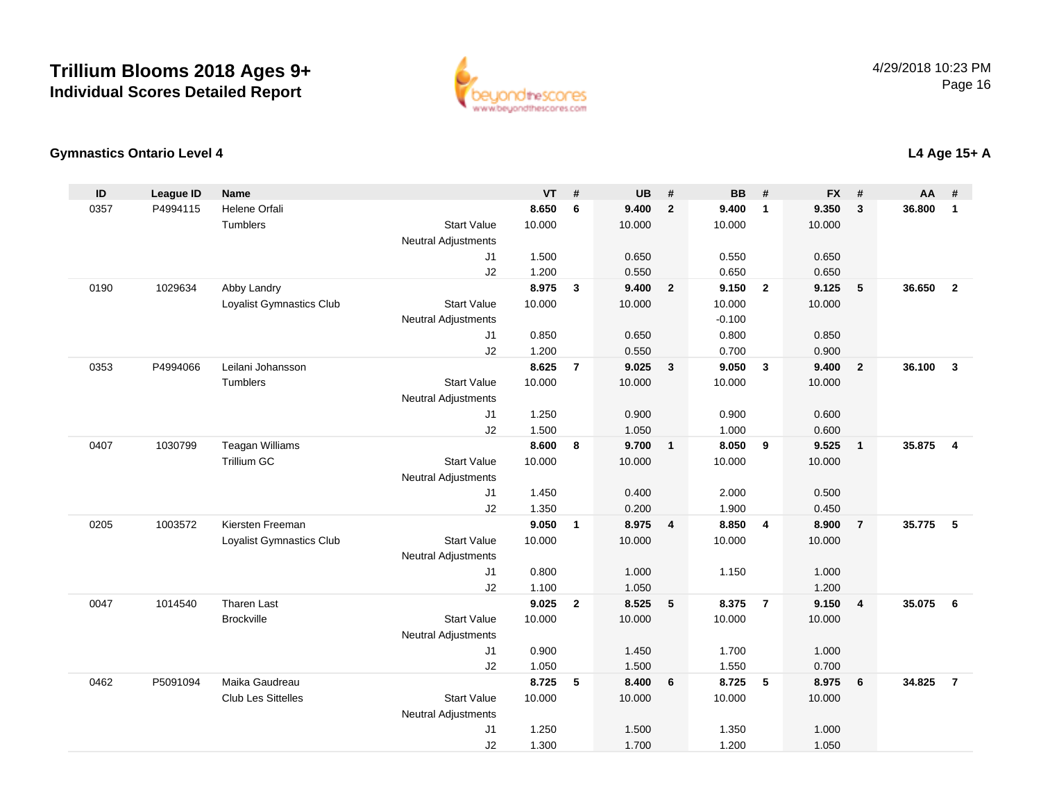

#### **Gymnastics Ontario Level 4**

| ID   | <b>League ID</b> | <b>Name</b>                     |                            | <b>VT</b> | #              | <b>UB</b> | #                       | <b>BB</b> | #              | <b>FX</b> | #              | <b>AA</b> | #                       |
|------|------------------|---------------------------------|----------------------------|-----------|----------------|-----------|-------------------------|-----------|----------------|-----------|----------------|-----------|-------------------------|
| 0357 | P4994115         | Helene Orfali                   |                            | 8.650     | 6              | 9.400     | $\overline{2}$          | 9.400     | $\overline{1}$ | 9.350     | 3              | 36.800    | $\mathbf{1}$            |
|      |                  | Tumblers                        | <b>Start Value</b>         | 10.000    |                | 10.000    |                         | 10.000    |                | 10.000    |                |           |                         |
|      |                  |                                 | <b>Neutral Adjustments</b> |           |                |           |                         |           |                |           |                |           |                         |
|      |                  |                                 | J <sub>1</sub>             | 1.500     |                | 0.650     |                         | 0.550     |                | 0.650     |                |           |                         |
|      |                  |                                 | J2                         | 1.200     |                | 0.550     |                         | 0.650     |                | 0.650     |                |           |                         |
| 0190 | 1029634          | Abby Landry                     |                            | 8.975     | $\mathbf{3}$   | 9.400     | $\overline{\mathbf{2}}$ | 9.150     | $\overline{2}$ | 9.125     | 5              | 36.650    | $\overline{2}$          |
|      |                  | Loyalist Gymnastics Club        | <b>Start Value</b>         | 10.000    |                | 10.000    |                         | 10.000    |                | 10.000    |                |           |                         |
|      |                  |                                 | <b>Neutral Adjustments</b> |           |                |           |                         | $-0.100$  |                |           |                |           |                         |
|      |                  |                                 | J1                         | 0.850     |                | 0.650     |                         | 0.800     |                | 0.850     |                |           |                         |
|      |                  |                                 | J2                         | 1.200     |                | 0.550     |                         | 0.700     |                | 0.900     |                |           |                         |
| 0353 | P4994066         | Leilani Johansson               |                            | 8.625     | $\overline{7}$ | 9.025     | $\mathbf{3}$            | 9.050     | $\mathbf{3}$   | 9.400     | $\overline{2}$ | 36.100    | $\mathbf{3}$            |
|      |                  | Tumblers                        | <b>Start Value</b>         | 10.000    |                | 10.000    |                         | 10.000    |                | 10.000    |                |           |                         |
|      |                  |                                 | <b>Neutral Adjustments</b> |           |                |           |                         |           |                |           |                |           |                         |
|      |                  |                                 | J1                         | 1.250     |                | 0.900     |                         | 0.900     |                | 0.600     |                |           |                         |
|      |                  |                                 | J2                         | 1.500     |                | 1.050     |                         | 1.000     |                | 0.600     |                |           |                         |
| 0407 | 1030799          | <b>Teagan Williams</b>          |                            | 8.600     | 8              | 9.700     | $\overline{1}$          | 8.050     | 9              | 9.525     | $\mathbf{1}$   | 35.875    | $\overline{\mathbf{4}}$ |
|      |                  | <b>Trillium GC</b>              | <b>Start Value</b>         | 10.000    |                | 10.000    |                         | 10.000    |                | 10.000    |                |           |                         |
|      |                  |                                 | <b>Neutral Adjustments</b> |           |                |           |                         |           |                |           |                |           |                         |
|      |                  |                                 | J1                         | 1.450     |                | 0.400     |                         | 2.000     |                | 0.500     |                |           |                         |
|      |                  |                                 | J2                         | 1.350     |                | 0.200     |                         | 1.900     |                | 0.450     |                |           |                         |
| 0205 | 1003572          | Kiersten Freeman                |                            | 9.050     | $\mathbf{1}$   | 8.975     | $\overline{4}$          | 8.850     | $\overline{4}$ | 8.900     | $\overline{7}$ | 35.775    | $-5$                    |
|      |                  | <b>Loyalist Gymnastics Club</b> | <b>Start Value</b>         | 10.000    |                | 10.000    |                         | 10.000    |                | 10.000    |                |           |                         |
|      |                  |                                 | <b>Neutral Adjustments</b> |           |                |           |                         |           |                |           |                |           |                         |
|      |                  |                                 | J1                         | 0.800     |                | 1.000     |                         | 1.150     |                | 1.000     |                |           |                         |
|      |                  |                                 | J2                         | 1.100     |                | 1.050     |                         |           |                | 1.200     |                |           |                         |
| 0047 | 1014540          | <b>Tharen Last</b>              |                            | 9.025     | $\overline{2}$ | 8.525     | $\sqrt{5}$              | 8.375     | $\overline{7}$ | 9.150     | 4              | 35.075    | 6                       |
|      |                  | <b>Brockville</b>               | <b>Start Value</b>         | 10.000    |                | 10.000    |                         | 10.000    |                | 10.000    |                |           |                         |
|      |                  |                                 | <b>Neutral Adjustments</b> |           |                |           |                         |           |                |           |                |           |                         |
|      |                  |                                 | J1                         | 0.900     |                | 1.450     |                         | 1.700     |                | 1.000     |                |           |                         |
|      |                  |                                 | J2                         | 1.050     |                | 1.500     |                         | 1.550     |                | 0.700     |                |           |                         |
| 0462 | P5091094         | Maika Gaudreau                  |                            | 8.725     | 5              | 8.400     | 6                       | 8.725     | 5              | 8.975     | 6              | 34.825    | $\overline{7}$          |
|      |                  | <b>Club Les Sittelles</b>       | <b>Start Value</b>         | 10.000    |                | 10.000    |                         | 10.000    |                | 10.000    |                |           |                         |
|      |                  |                                 | <b>Neutral Adjustments</b> |           |                |           |                         |           |                |           |                |           |                         |
|      |                  |                                 | J <sub>1</sub>             | 1.250     |                | 1.500     |                         | 1.350     |                | 1.000     |                |           |                         |
|      |                  |                                 | J2                         | 1.300     |                | 1.700     |                         | 1.200     |                | 1.050     |                |           |                         |

### **L4 Age 15+ A**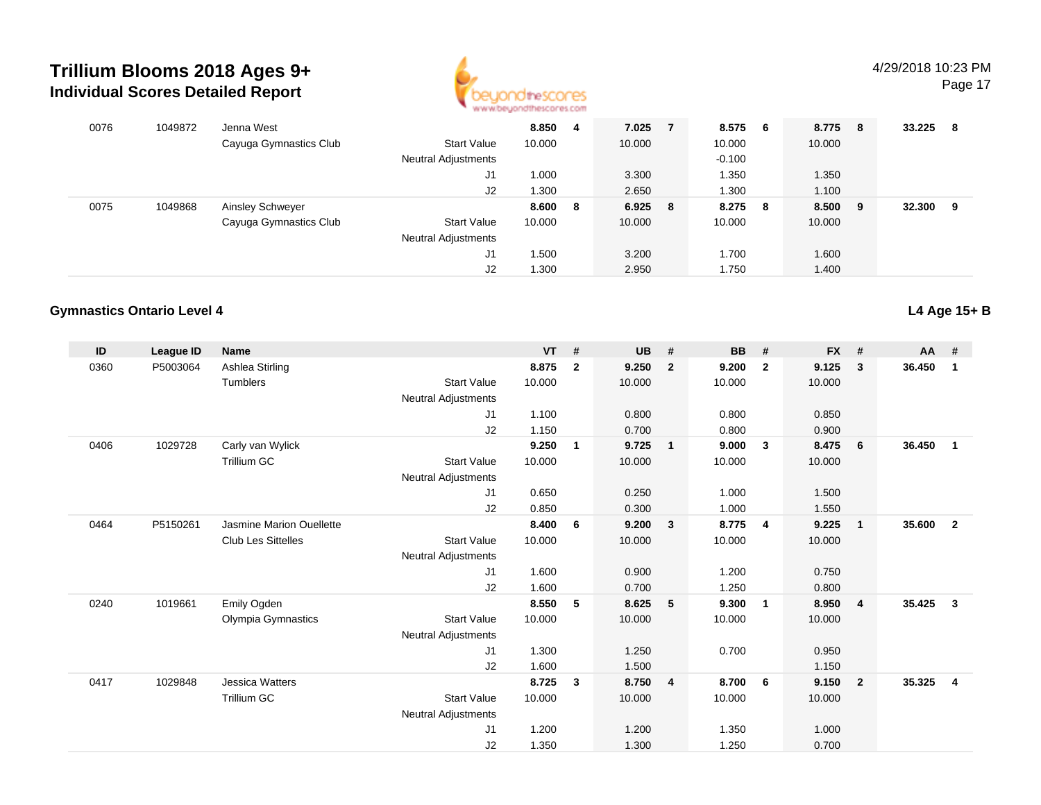

Page 17

| 0076 | 1049872 | Jenna West             |                            | 8.850  | 4 | 7.025   | 8.575    | 6 | 8.775 8 |     | 33.225 | - 8 |
|------|---------|------------------------|----------------------------|--------|---|---------|----------|---|---------|-----|--------|-----|
|      |         | Cayuga Gymnastics Club | <b>Start Value</b>         | 10.000 |   | 10.000  | 10.000   |   | 10.000  |     |        |     |
|      |         |                        | <b>Neutral Adjustments</b> |        |   |         | $-0.100$ |   |         |     |        |     |
|      |         |                        | J1                         | 1.000  |   | 3.300   | 1.350    |   | 1.350   |     |        |     |
|      |         |                        | J <sub>2</sub>             | 1.300  |   | 2.650   | 1.300    |   | 1.100   |     |        |     |
| 0075 | 1049868 | Ainsley Schweyer       |                            | 8.600  | 8 | 6.925 8 | 8.275    | 8 | 8.500   | - 9 | 32.300 | - 9 |
|      |         | Cayuga Gymnastics Club | <b>Start Value</b>         | 10.000 |   | 10.000  | 10.000   |   | 10.000  |     |        |     |
|      |         |                        | <b>Neutral Adjustments</b> |        |   |         |          |   |         |     |        |     |
|      |         |                        | J1                         | 1.500  |   | 3.200   | 1.700    |   | 1.600   |     |        |     |
|      |         |                        | J2                         | 1.300  |   | 2.950   | 1.750    |   | 1.400   |     |        |     |

#### **Gymnastics Ontario Level 4**

| ID   | League ID | <b>Name</b>               |                            | <b>VT</b> | #              | <b>UB</b> | #                       | <b>BB</b> | #                       | <b>FX</b> | #              | $AA$ # |                |
|------|-----------|---------------------------|----------------------------|-----------|----------------|-----------|-------------------------|-----------|-------------------------|-----------|----------------|--------|----------------|
| 0360 | P5003064  | Ashlea Stirling           |                            | 8.875     | $\overline{2}$ | 9.250     | $\overline{2}$          | 9.200     | $\overline{2}$          | 9.125     | 3              | 36.450 | 1              |
|      |           | Tumblers                  | <b>Start Value</b>         | 10.000    |                | 10.000    |                         | 10.000    |                         | 10.000    |                |        |                |
|      |           |                           | <b>Neutral Adjustments</b> |           |                |           |                         |           |                         |           |                |        |                |
|      |           |                           | J1                         | 1.100     |                | 0.800     |                         | 0.800     |                         | 0.850     |                |        |                |
|      |           |                           | J2                         | 1.150     |                | 0.700     |                         | 0.800     |                         | 0.900     |                |        |                |
| 0406 | 1029728   | Carly van Wylick          |                            | 9.250     | 1              | 9.725     | $\overline{1}$          | 9.000     | $\mathbf{3}$            | 8.475     | 6              | 36.450 | $\mathbf{1}$   |
|      |           | <b>Trillium GC</b>        | <b>Start Value</b>         | 10.000    |                | 10.000    |                         | 10.000    |                         | 10.000    |                |        |                |
|      |           |                           | <b>Neutral Adjustments</b> |           |                |           |                         |           |                         |           |                |        |                |
|      |           |                           | J1                         | 0.650     |                | 0.250     |                         | 1.000     |                         | 1.500     |                |        |                |
|      |           |                           | J2                         | 0.850     |                | 0.300     |                         | 1.000     |                         | 1.550     |                |        |                |
| 0464 | P5150261  | Jasmine Marion Ouellette  |                            | 8.400     | 6              | 9.200     | $\overline{\mathbf{3}}$ | 8.775     | $\overline{\mathbf{4}}$ | 9.225     | $\mathbf{1}$   | 35.600 | $\overline{2}$ |
|      |           | <b>Club Les Sittelles</b> | <b>Start Value</b>         | 10.000    |                | 10.000    |                         | 10.000    |                         | 10.000    |                |        |                |
|      |           |                           | <b>Neutral Adjustments</b> |           |                |           |                         |           |                         |           |                |        |                |
|      |           |                           | J1                         | 1.600     |                | 0.900     |                         | 1.200     |                         | 0.750     |                |        |                |
|      |           |                           | J2                         | 1.600     |                | 0.700     |                         | 1.250     |                         | 0.800     |                |        |                |
| 0240 | 1019661   | Emily Ogden               |                            | 8.550     | 5              | 8.625     | 5                       | 9.300     | $\overline{1}$          | 8.950     | 4              | 35.425 | $\mathbf{3}$   |
|      |           | Olympia Gymnastics        | <b>Start Value</b>         | 10.000    |                | 10.000    |                         | 10.000    |                         | 10.000    |                |        |                |
|      |           |                           | <b>Neutral Adjustments</b> |           |                |           |                         |           |                         |           |                |        |                |
|      |           |                           | J1                         | 1.300     |                | 1.250     |                         | 0.700     |                         | 0.950     |                |        |                |
|      |           |                           | J2                         | 1.600     |                | 1.500     |                         |           |                         | 1.150     |                |        |                |
| 0417 | 1029848   | <b>Jessica Watters</b>    |                            | 8.725     | 3              | 8.750     | $\overline{\mathbf{4}}$ | 8.700     | - 6                     | 9.150     | $\overline{2}$ | 35.325 | $\overline{4}$ |
|      |           | <b>Trillium GC</b>        | <b>Start Value</b>         | 10.000    |                | 10.000    |                         | 10.000    |                         | 10.000    |                |        |                |
|      |           |                           | <b>Neutral Adjustments</b> |           |                |           |                         |           |                         |           |                |        |                |
|      |           |                           | J <sub>1</sub>             | 1.200     |                | 1.200     |                         | 1.350     |                         | 1.000     |                |        |                |
|      |           |                           | J <sub>2</sub>             | 1.350     |                | 1.300     |                         | 1.250     |                         | 0.700     |                |        |                |

**L4 Age 15+ B**